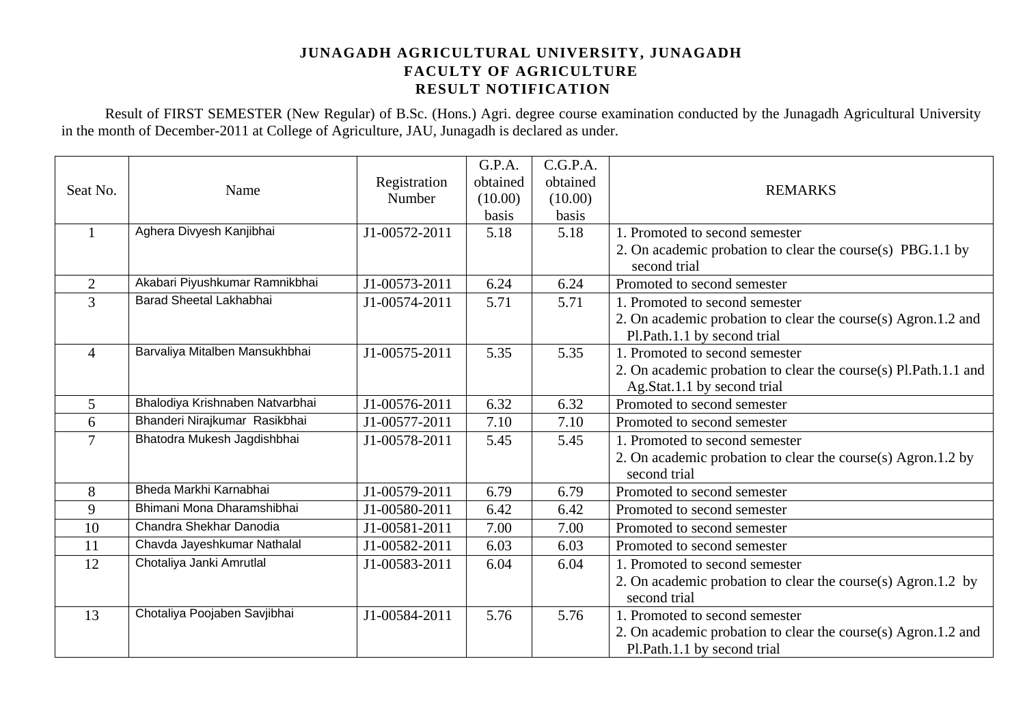Result of FIRST SEMESTER (New Regular) of B.Sc. (Hons.) Agri. degree course examination conducted by the Junagadh Agricultural University in the month of December-2011 at College of Agriculture, JAU, Junagadh is declared as under.

|                |                                 | Registration  | G.P.A.<br>obtained | C.G.P.A.<br>obtained |                                                                 |
|----------------|---------------------------------|---------------|--------------------|----------------------|-----------------------------------------------------------------|
| Seat No.       | Name                            | Number        | (10.00)            | (10.00)              | <b>REMARKS</b>                                                  |
|                |                                 |               | basis              | basis                |                                                                 |
| $\mathbf{1}$   | Aghera Divyesh Kanjibhai        | J1-00572-2011 | 5.18               | 5.18                 | 1. Promoted to second semester                                  |
|                |                                 |               |                    |                      | 2. On academic probation to clear the course(s) PBG.1.1 by      |
|                |                                 |               |                    |                      | second trial                                                    |
| 2              | Akabari Piyushkumar Ramnikbhai  | J1-00573-2011 | 6.24               | 6.24                 | Promoted to second semester                                     |
| 3              | <b>Barad Sheetal Lakhabhai</b>  | J1-00574-2011 | 5.71               | 5.71                 | 1. Promoted to second semester                                  |
|                |                                 |               |                    |                      | 2. On academic probation to clear the course(s) Agron.1.2 and   |
|                |                                 |               |                    |                      | Pl.Path.1.1 by second trial                                     |
| $\overline{4}$ | Barvaliya Mitalben Mansukhbhai  | J1-00575-2011 | 5.35               | 5.35                 | 1. Promoted to second semester                                  |
|                |                                 |               |                    |                      | 2. On academic probation to clear the course(s) Pl.Path.1.1 and |
|                |                                 |               |                    |                      | Ag.Stat.1.1 by second trial                                     |
| $\overline{5}$ | Bhalodiya Krishnaben Natvarbhai | J1-00576-2011 | 6.32               | 6.32                 | Promoted to second semester                                     |
| 6              | Bhanderi Nirajkumar Rasikbhai   | J1-00577-2011 | 7.10               | 7.10                 | Promoted to second semester                                     |
| 7              | Bhatodra Mukesh Jagdishbhai     | J1-00578-2011 | 5.45               | 5.45                 | 1. Promoted to second semester                                  |
|                |                                 |               |                    |                      | 2. On academic probation to clear the course(s) Agron.1.2 by    |
|                |                                 |               |                    |                      | second trial                                                    |
| 8              | Bheda Markhi Karnabhai          | J1-00579-2011 | 6.79               | 6.79                 | Promoted to second semester                                     |
| 9              | Bhimani Mona Dharamshibhai      | J1-00580-2011 | 6.42               | 6.42                 | Promoted to second semester                                     |
| 10             | Chandra Shekhar Danodia         | J1-00581-2011 | 7.00               | 7.00                 | Promoted to second semester                                     |
| 11             | Chavda Jayeshkumar Nathalal     | J1-00582-2011 | 6.03               | 6.03                 | Promoted to second semester                                     |
| 12             | Chotaliya Janki Amrutlal        | J1-00583-2011 | 6.04               | 6.04                 | 1. Promoted to second semester                                  |
|                |                                 |               |                    |                      | 2. On academic probation to clear the course(s) Agron.1.2 by    |
|                |                                 |               |                    |                      | second trial                                                    |
| 13             | Chotaliya Poojaben Savjibhai    | J1-00584-2011 | 5.76               | 5.76                 | 1. Promoted to second semester                                  |
|                |                                 |               |                    |                      | 2. On academic probation to clear the course(s) Agron.1.2 and   |
|                |                                 |               |                    |                      | Pl.Path.1.1 by second trial                                     |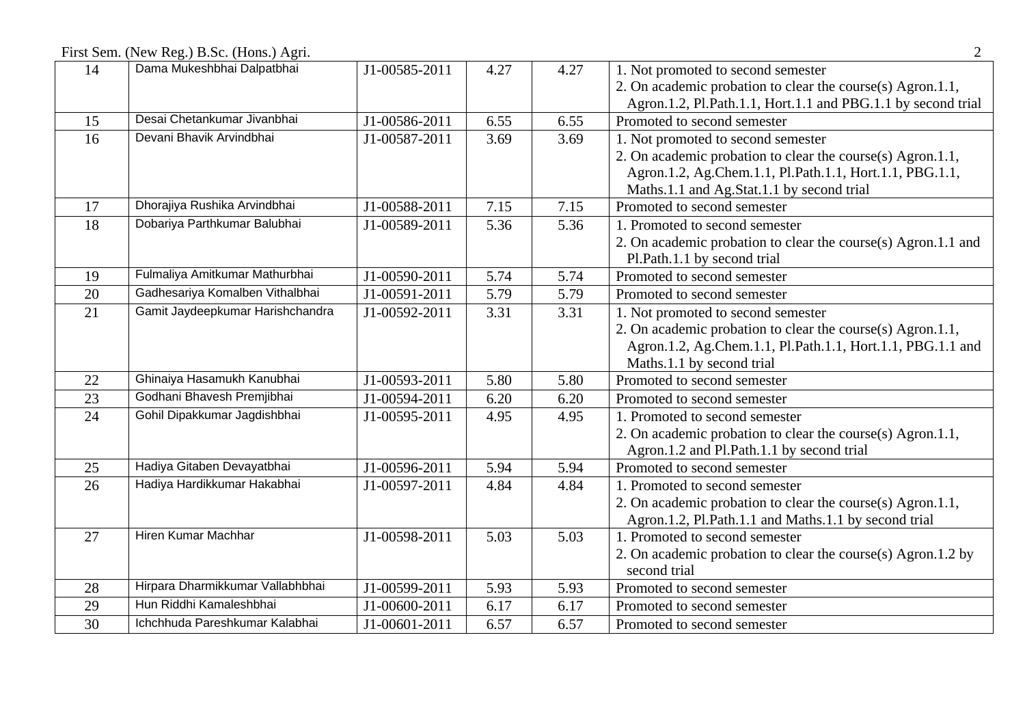First Sem. (New Reg.) B.Sc. (Hons.) Agri. 2

| 14 | Dama Mukeshbhai Dalpatbhai       | J1-00585-2011 | 4.27 | 4.27 | 1. Not promoted to second semester                            |
|----|----------------------------------|---------------|------|------|---------------------------------------------------------------|
|    |                                  |               |      |      | 2. On academic probation to clear the course(s) Agron.1.1,    |
|    |                                  |               |      |      | Agron.1.2, Pl.Path.1.1, Hort.1.1 and PBG.1.1 by second trial  |
| 15 | Desai Chetankumar Jivanbhai      | J1-00586-2011 | 6.55 | 6.55 | Promoted to second semester                                   |
| 16 | Devani Bhavik Arvindbhai         | J1-00587-2011 | 3.69 | 3.69 | 1. Not promoted to second semester                            |
|    |                                  |               |      |      | 2. On academic probation to clear the course(s) Agron.1.1,    |
|    |                                  |               |      |      | Agron.1.2, Ag.Chem.1.1, Pl.Path.1.1, Hort.1.1, PBG.1.1,       |
|    |                                  |               |      |      | Maths.1.1 and Ag.Stat.1.1 by second trial                     |
| 17 | Dhorajiya Rushika Arvindbhai     | J1-00588-2011 | 7.15 | 7.15 | Promoted to second semester                                   |
| 18 | Dobariya Parthkumar Balubhai     | J1-00589-2011 | 5.36 | 5.36 | 1. Promoted to second semester                                |
|    |                                  |               |      |      | 2. On academic probation to clear the course(s) Agron.1.1 and |
|    |                                  |               |      |      | Pl.Path.1.1 by second trial                                   |
| 19 | Fulmaliya Amitkumar Mathurbhai   | J1-00590-2011 | 5.74 | 5.74 | Promoted to second semester                                   |
| 20 | Gadhesariya Komalben Vithalbhai  | J1-00591-2011 | 5.79 | 5.79 | Promoted to second semester                                   |
| 21 | Gamit Jaydeepkumar Harishchandra | J1-00592-2011 | 3.31 | 3.31 | 1. Not promoted to second semester                            |
|    |                                  |               |      |      | 2. On academic probation to clear the course(s) Agron.1.1,    |
|    |                                  |               |      |      | Agron.1.2, Ag.Chem.1.1, Pl.Path.1.1, Hort.1.1, PBG.1.1 and    |
|    |                                  |               |      |      | Maths.1.1 by second trial                                     |
| 22 | Ghinaiya Hasamukh Kanubhai       | J1-00593-2011 | 5.80 | 5.80 | Promoted to second semester                                   |
| 23 | Godhani Bhavesh Premjibhai       | J1-00594-2011 | 6.20 | 6.20 | Promoted to second semester                                   |
| 24 | Gohil Dipakkumar Jagdishbhai     | J1-00595-2011 | 4.95 | 4.95 | 1. Promoted to second semester                                |
|    |                                  |               |      |      | 2. On academic probation to clear the course(s) Agron.1.1,    |
|    |                                  |               |      |      | Agron.1.2 and Pl.Path.1.1 by second trial                     |
| 25 | Hadiya Gitaben Devayatbhai       | J1-00596-2011 | 5.94 | 5.94 | Promoted to second semester                                   |
| 26 | Hadiya Hardikkumar Hakabhai      | J1-00597-2011 | 4.84 | 4.84 | 1. Promoted to second semester                                |
|    |                                  |               |      |      | 2. On academic probation to clear the course(s) Agron.1.1,    |
|    |                                  |               |      |      | Agron.1.2, Pl.Path.1.1 and Maths.1.1 by second trial          |
| 27 | Hiren Kumar Machhar              | J1-00598-2011 | 5.03 | 5.03 | 1. Promoted to second semester                                |
|    |                                  |               |      |      | 2. On academic probation to clear the course(s) Agron.1.2 by  |
|    |                                  |               |      |      | second trial                                                  |
| 28 | Hirpara Dharmikkumar Vallabhbhai | J1-00599-2011 | 5.93 | 5.93 | Promoted to second semester                                   |
| 29 | Hun Riddhi Kamaleshbhai          | J1-00600-2011 | 6.17 | 6.17 | Promoted to second semester                                   |
| 30 | Ichchhuda Pareshkumar Kalabhai   | J1-00601-2011 | 6.57 | 6.57 | Promoted to second semester                                   |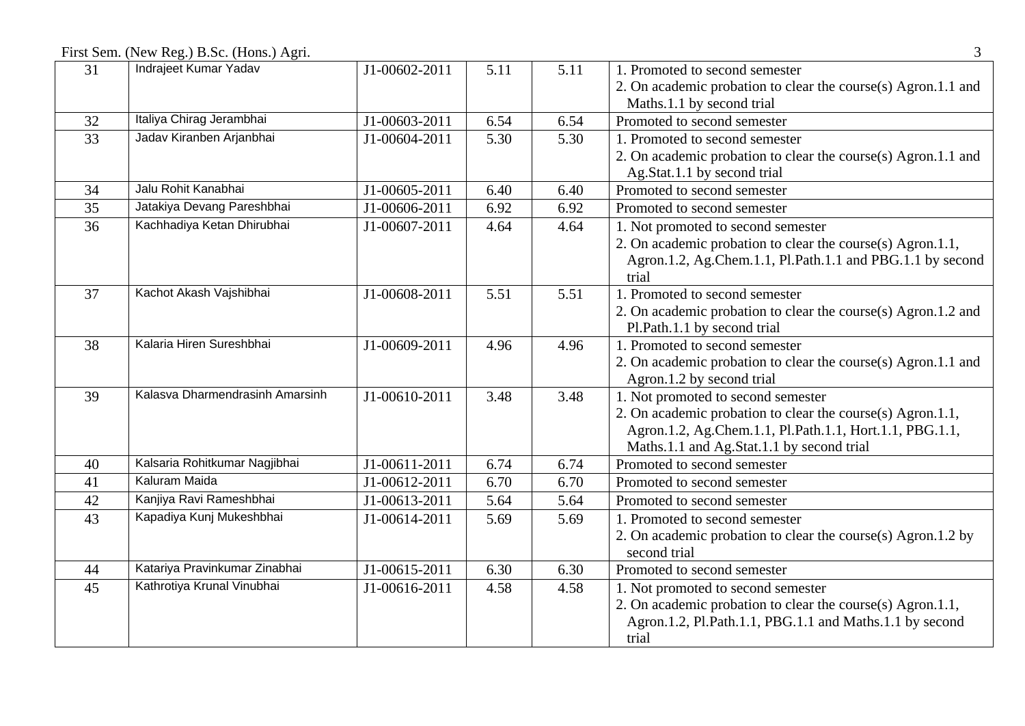First Sem. (New Reg.) B.Sc. (Hons.) Agri. 3

| 31 | Indrajeet Kumar Yadav           | J1-00602-2011               | 5.11 | 5.11 | 1. Promoted to second semester                                |
|----|---------------------------------|-----------------------------|------|------|---------------------------------------------------------------|
|    |                                 |                             |      |      | 2. On academic probation to clear the course(s) Agron.1.1 and |
|    |                                 |                             |      |      | Maths.1.1 by second trial                                     |
| 32 | Italiya Chirag Jerambhai        | J1-00603-2011               | 6.54 | 6.54 | Promoted to second semester                                   |
| 33 | Jadav Kiranben Arjanbhai        | J1-00604-2011               | 5.30 | 5.30 | 1. Promoted to second semester                                |
|    |                                 |                             |      |      | 2. On academic probation to clear the course(s) Agron.1.1 and |
|    |                                 |                             |      |      | Ag.Stat.1.1 by second trial                                   |
| 34 | Jalu Rohit Kanabhai             | J1-00605-2011               | 6.40 | 6.40 | Promoted to second semester                                   |
| 35 | Jatakiya Devang Pareshbhai      | J1-00606-2011               | 6.92 | 6.92 | Promoted to second semester                                   |
| 36 | Kachhadiya Ketan Dhirubhai      | J1-00607-2011               | 4.64 | 4.64 | 1. Not promoted to second semester                            |
|    |                                 |                             |      |      | 2. On academic probation to clear the course(s) Agron.1.1,    |
|    |                                 |                             |      |      | Agron.1.2, Ag.Chem.1.1, Pl.Path.1.1 and PBG.1.1 by second     |
|    |                                 |                             |      |      | trial                                                         |
| 37 | Kachot Akash Vajshibhai         | J1-00608-2011               | 5.51 | 5.51 | 1. Promoted to second semester                                |
|    |                                 |                             |      |      | 2. On academic probation to clear the course(s) Agron.1.2 and |
|    |                                 |                             |      |      | Pl.Path.1.1 by second trial                                   |
| 38 | Kalaria Hiren Sureshbhai        | J1-00609-2011               | 4.96 | 4.96 | 1. Promoted to second semester                                |
|    |                                 |                             |      |      | 2. On academic probation to clear the course(s) Agron.1.1 and |
|    |                                 |                             |      |      | Agron.1.2 by second trial                                     |
| 39 | Kalasva Dharmendrasinh Amarsinh | J1-00610-2011               | 3.48 | 3.48 | 1. Not promoted to second semester                            |
|    |                                 |                             |      |      | 2. On academic probation to clear the course(s) Agron.1.1,    |
|    |                                 |                             |      |      | Agron.1.2, Ag.Chem.1.1, Pl.Path.1.1, Hort.1.1, PBG.1.1,       |
|    |                                 |                             |      |      | Maths.1.1 and Ag.Stat.1.1 by second trial                     |
| 40 | Kalsaria Rohitkumar Nagjibhai   | J1-00611-2011               | 6.74 | 6.74 | Promoted to second semester                                   |
| 41 | Kaluram Maida                   | J1-00612-2011               | 6.70 | 6.70 | Promoted to second semester                                   |
| 42 | Kanjiya Ravi Rameshbhai         | $\overline{J1}$ -00613-2011 | 5.64 | 5.64 | Promoted to second semester                                   |
| 43 | Kapadiya Kunj Mukeshbhai        | J1-00614-2011               | 5.69 | 5.69 | 1. Promoted to second semester                                |
|    |                                 |                             |      |      | 2. On academic probation to clear the course(s) Agron.1.2 by  |
|    |                                 |                             |      |      | second trial                                                  |
| 44 | Katariya Pravinkumar Zinabhai   | J1-00615-2011               | 6.30 | 6.30 | Promoted to second semester                                   |
| 45 | Kathrotiya Krunal Vinubhai      | J1-00616-2011               | 4.58 | 4.58 | 1. Not promoted to second semester                            |
|    |                                 |                             |      |      | 2. On academic probation to clear the course(s) Agron.1.1,    |
|    |                                 |                             |      |      | Agron.1.2, Pl.Path.1.1, PBG.1.1 and Maths.1.1 by second       |
|    |                                 |                             |      |      | trial                                                         |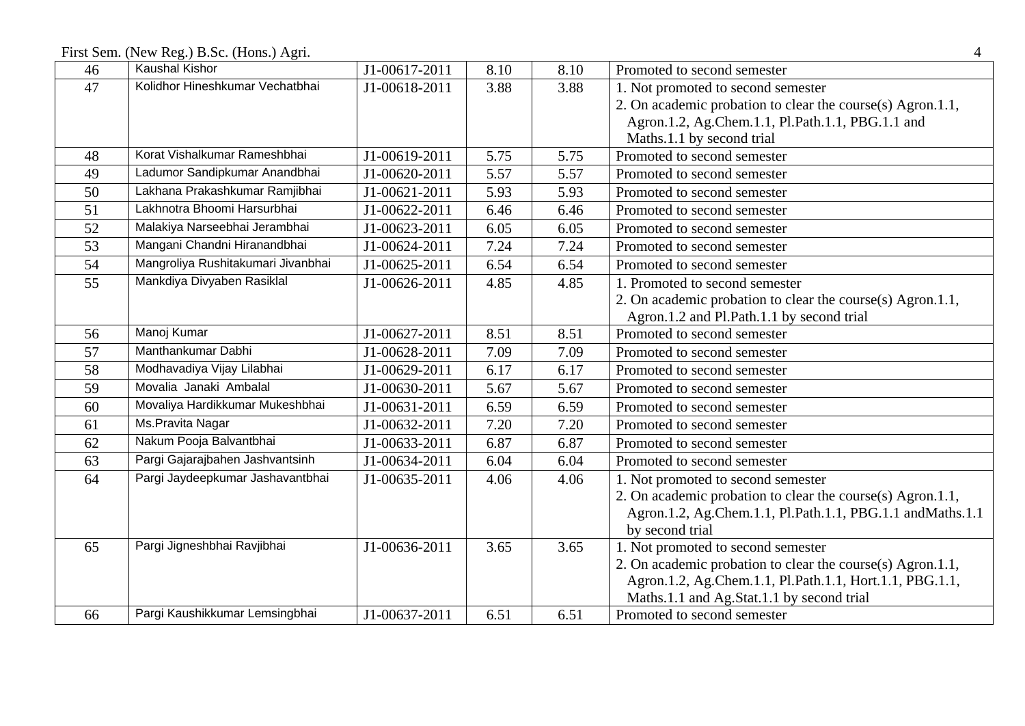First Sem. (New Reg.) B.Sc. (Hons.) Agri. 4

| 46 | <b>Kaushal Kishor</b>              | J1-00617-2011 | 8.10 | 8.10 | Promoted to second semester                                |
|----|------------------------------------|---------------|------|------|------------------------------------------------------------|
| 47 | Kolidhor Hineshkumar Vechatbhai    | J1-00618-2011 | 3.88 | 3.88 | 1. Not promoted to second semester                         |
|    |                                    |               |      |      | 2. On academic probation to clear the course(s) Agron.1.1, |
|    |                                    |               |      |      | Agron.1.2, Ag.Chem.1.1, Pl.Path.1.1, PBG.1.1 and           |
|    |                                    |               |      |      | Maths.1.1 by second trial                                  |
| 48 | Korat Vishalkumar Rameshbhai       | J1-00619-2011 | 5.75 | 5.75 | Promoted to second semester                                |
| 49 | Ladumor Sandipkumar Anandbhai      | J1-00620-2011 | 5.57 | 5.57 | Promoted to second semester                                |
| 50 | Lakhana Prakashkumar Ramjibhai     | J1-00621-2011 | 5.93 | 5.93 | Promoted to second semester                                |
| 51 | Lakhnotra Bhoomi Harsurbhai        | J1-00622-2011 | 6.46 | 6.46 | Promoted to second semester                                |
| 52 | Malakiya Narseebhai Jerambhai      | J1-00623-2011 | 6.05 | 6.05 | Promoted to second semester                                |
| 53 | Mangani Chandni Hiranandbhai       | J1-00624-2011 | 7.24 | 7.24 | Promoted to second semester                                |
| 54 | Mangroliya Rushitakumari Jivanbhai | J1-00625-2011 | 6.54 | 6.54 | Promoted to second semester                                |
| 55 | Mankdiya Divyaben Rasiklal         | J1-00626-2011 | 4.85 | 4.85 | 1. Promoted to second semester                             |
|    |                                    |               |      |      | 2. On academic probation to clear the course(s) Agron.1.1, |
|    |                                    |               |      |      | Agron.1.2 and Pl.Path.1.1 by second trial                  |
| 56 | Manoj Kumar                        | J1-00627-2011 | 8.51 | 8.51 | Promoted to second semester                                |
| 57 | Manthankumar Dabhi                 | J1-00628-2011 | 7.09 | 7.09 | Promoted to second semester                                |
| 58 | Modhavadiya Vijay Lilabhai         | J1-00629-2011 | 6.17 | 6.17 | Promoted to second semester                                |
| 59 | Movalia Janaki Ambalal             | J1-00630-2011 | 5.67 | 5.67 | Promoted to second semester                                |
| 60 | Movaliya Hardikkumar Mukeshbhai    | J1-00631-2011 | 6.59 | 6.59 | Promoted to second semester                                |
| 61 | Ms.Pravita Nagar                   | J1-00632-2011 | 7.20 | 7.20 | Promoted to second semester                                |
| 62 | Nakum Pooja Balvantbhai            | J1-00633-2011 | 6.87 | 6.87 | Promoted to second semester                                |
| 63 | Pargi Gajarajbahen Jashvantsinh    | J1-00634-2011 | 6.04 | 6.04 | Promoted to second semester                                |
| 64 | Pargi Jaydeepkumar Jashavantbhai   | J1-00635-2011 | 4.06 | 4.06 | 1. Not promoted to second semester                         |
|    |                                    |               |      |      | 2. On academic probation to clear the course(s) Agron.1.1, |
|    |                                    |               |      |      | Agron.1.2, Ag.Chem.1.1, Pl.Path.1.1, PBG.1.1 and Maths.1.1 |
|    |                                    |               |      |      | by second trial                                            |
| 65 | Pargi Jigneshbhai Ravjibhai        | J1-00636-2011 | 3.65 | 3.65 | 1. Not promoted to second semester                         |
|    |                                    |               |      |      | 2. On academic probation to clear the course(s) Agron.1.1, |
|    |                                    |               |      |      | Agron.1.2, Ag.Chem.1.1, Pl.Path.1.1, Hort.1.1, PBG.1.1,    |
|    |                                    |               |      |      | Maths.1.1 and Ag.Stat.1.1 by second trial                  |
| 66 | Pargi Kaushikkumar Lemsingbhai     | J1-00637-2011 | 6.51 | 6.51 | Promoted to second semester                                |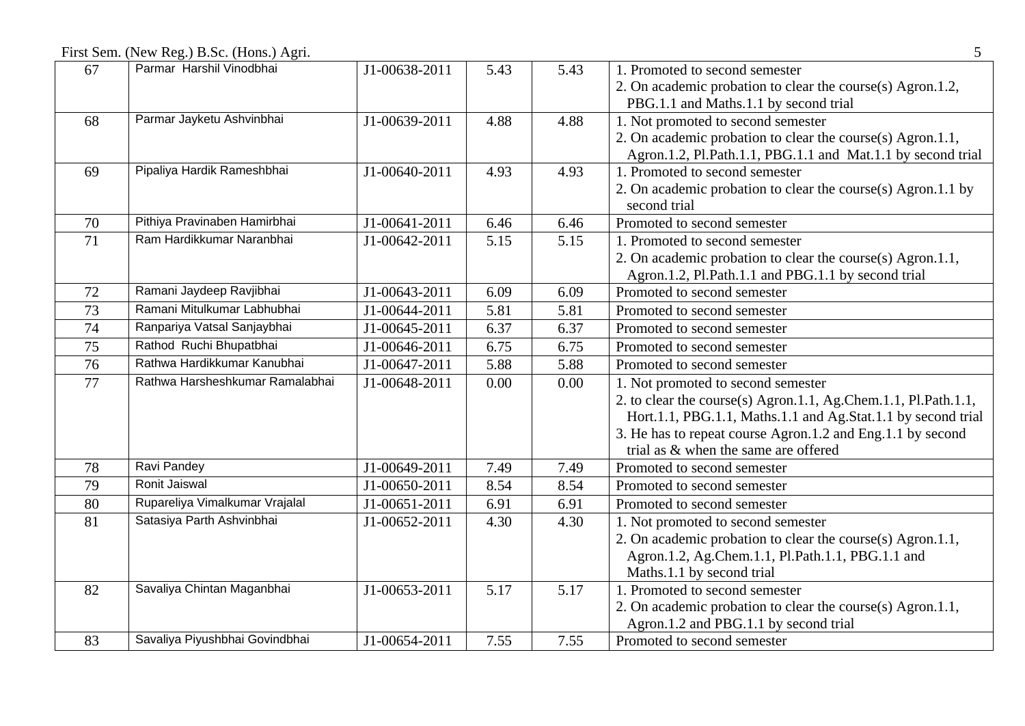First Sem. (New Reg.) B.Sc. (Hons.) Agri. 5

| 67 | Parmar Harshil Vinodbhai        | J1-00638-2011 | 5.43 | 5.43 | 1. Promoted to second semester                                 |
|----|---------------------------------|---------------|------|------|----------------------------------------------------------------|
|    |                                 |               |      |      | 2. On academic probation to clear the course(s) Agron.1.2,     |
|    |                                 |               |      |      | PBG.1.1 and Maths.1.1 by second trial                          |
| 68 | Parmar Jayketu Ashvinbhai       | J1-00639-2011 | 4.88 | 4.88 | 1. Not promoted to second semester                             |
|    |                                 |               |      |      | 2. On academic probation to clear the course(s) Agron.1.1,     |
|    |                                 |               |      |      | Agron.1.2, Pl.Path.1.1, PBG.1.1 and Mat.1.1 by second trial    |
| 69 | Pipaliya Hardik Rameshbhai      | J1-00640-2011 | 4.93 | 4.93 | 1. Promoted to second semester                                 |
|    |                                 |               |      |      | 2. On academic probation to clear the course(s) Agron.1.1 by   |
|    |                                 |               |      |      | second trial                                                   |
| 70 | Pithiya Pravinaben Hamirbhai    | J1-00641-2011 | 6.46 | 6.46 | Promoted to second semester                                    |
| 71 | Ram Hardikkumar Naranbhai       | J1-00642-2011 | 5.15 | 5.15 | 1. Promoted to second semester                                 |
|    |                                 |               |      |      | 2. On academic probation to clear the course(s) Agron.1.1,     |
|    |                                 |               |      |      | Agron.1.2, Pl.Path.1.1 and PBG.1.1 by second trial             |
| 72 | Ramani Jaydeep Ravjibhai        | J1-00643-2011 | 6.09 | 6.09 | Promoted to second semester                                    |
| 73 | Ramani Mitulkumar Labhubhai     | J1-00644-2011 | 5.81 | 5.81 | Promoted to second semester                                    |
| 74 | Ranpariya Vatsal Sanjaybhai     | J1-00645-2011 | 6.37 | 6.37 | Promoted to second semester                                    |
| 75 | Rathod Ruchi Bhupatbhai         | J1-00646-2011 | 6.75 | 6.75 | Promoted to second semester                                    |
| 76 | Rathwa Hardikkumar Kanubhai     | J1-00647-2011 | 5.88 | 5.88 | Promoted to second semester                                    |
| 77 | Rathwa Harsheshkumar Ramalabhai | J1-00648-2011 | 0.00 | 0.00 | 1. Not promoted to second semester                             |
|    |                                 |               |      |      | 2. to clear the course(s) Agron.1.1, Ag.Chem.1.1, Pl.Path.1.1, |
|    |                                 |               |      |      | Hort.1.1, PBG.1.1, Maths.1.1 and Ag.Stat.1.1 by second trial   |
|    |                                 |               |      |      | 3. He has to repeat course Agron.1.2 and Eng.1.1 by second     |
|    |                                 |               |      |      | trial as & when the same are offered                           |
| 78 | Ravi Pandey                     | J1-00649-2011 | 7.49 | 7.49 | Promoted to second semester                                    |
| 79 | Ronit Jaiswal                   | J1-00650-2011 | 8.54 | 8.54 | Promoted to second semester                                    |
| 80 | Rupareliya Vimalkumar Vrajalal  | J1-00651-2011 | 6.91 | 6.91 | Promoted to second semester                                    |
| 81 | Satasiya Parth Ashvinbhai       | J1-00652-2011 | 4.30 | 4.30 | 1. Not promoted to second semester                             |
|    |                                 |               |      |      | 2. On academic probation to clear the course(s) Agron.1.1,     |
|    |                                 |               |      |      | Agron.1.2, Ag.Chem.1.1, Pl.Path.1.1, PBG.1.1 and               |
|    |                                 |               |      |      | Maths.1.1 by second trial                                      |
| 82 | Savaliya Chintan Maganbhai      | J1-00653-2011 | 5.17 | 5.17 | 1. Promoted to second semester                                 |
|    |                                 |               |      |      | 2. On academic probation to clear the course(s) Agron.1.1,     |
|    |                                 |               |      |      | Agron.1.2 and PBG.1.1 by second trial                          |
| 83 | Savaliya Piyushbhai Govindbhai  | J1-00654-2011 | 7.55 | 7.55 | Promoted to second semester                                    |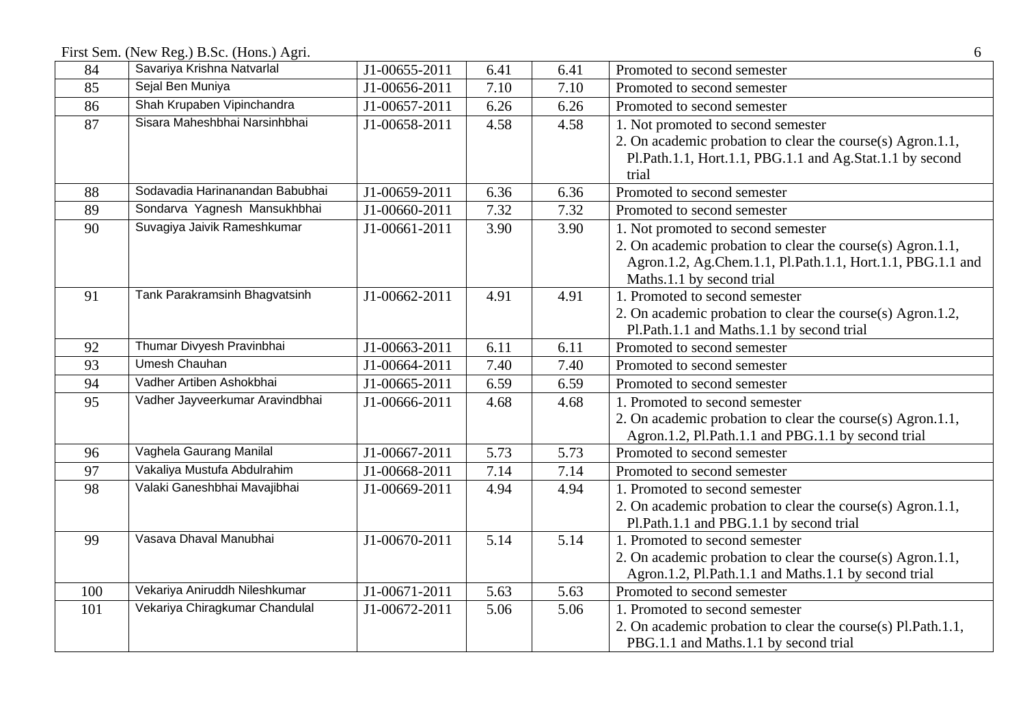First Sem. (New Reg.) B.Sc. (Hons.) Agri. 6

| 84  | Savariya Krishna Natvarlal      | J1-00655-2011 | 6.41 | 6.41 | Promoted to second semester                                  |
|-----|---------------------------------|---------------|------|------|--------------------------------------------------------------|
| 85  | Sejal Ben Muniya                | J1-00656-2011 | 7.10 | 7.10 | Promoted to second semester                                  |
| 86  | Shah Krupaben Vipinchandra      | J1-00657-2011 | 6.26 | 6.26 | Promoted to second semester                                  |
| 87  | Sisara Maheshbhai Narsinhbhai   | J1-00658-2011 | 4.58 | 4.58 | 1. Not promoted to second semester                           |
|     |                                 |               |      |      | 2. On academic probation to clear the course(s) Agron.1.1,   |
|     |                                 |               |      |      | Pl.Path.1.1, Hort.1.1, PBG.1.1 and Ag.Stat.1.1 by second     |
|     |                                 |               |      |      | trial                                                        |
| 88  | Sodavadia Harinanandan Babubhai | J1-00659-2011 | 6.36 | 6.36 | Promoted to second semester                                  |
| 89  | Sondarva Yagnesh Mansukhbhai    | J1-00660-2011 | 7.32 | 7.32 | Promoted to second semester                                  |
| 90  | Suvagiya Jaivik Rameshkumar     | J1-00661-2011 | 3.90 | 3.90 | 1. Not promoted to second semester                           |
|     |                                 |               |      |      | 2. On academic probation to clear the course(s) Agron.1.1,   |
|     |                                 |               |      |      | Agron.1.2, Ag.Chem.1.1, Pl.Path.1.1, Hort.1.1, PBG.1.1 and   |
|     |                                 |               |      |      | Maths.1.1 by second trial                                    |
| 91  | Tank Parakramsinh Bhagvatsinh   | J1-00662-2011 | 4.91 | 4.91 | 1. Promoted to second semester                               |
|     |                                 |               |      |      | 2. On academic probation to clear the course(s) Agron.1.2,   |
|     |                                 |               |      |      | Pl.Path.1.1 and Maths.1.1 by second trial                    |
| 92  | Thumar Divyesh Pravinbhai       | J1-00663-2011 | 6.11 | 6.11 | Promoted to second semester                                  |
| 93  | <b>Umesh Chauhan</b>            | J1-00664-2011 | 7.40 | 7.40 | Promoted to second semester                                  |
| 94  | Vadher Artiben Ashokbhai        | J1-00665-2011 | 6.59 | 6.59 | Promoted to second semester                                  |
| 95  | Vadher Jayveerkumar Aravindbhai | J1-00666-2011 | 4.68 | 4.68 | 1. Promoted to second semester                               |
|     |                                 |               |      |      | 2. On academic probation to clear the course(s) Agron.1.1,   |
|     |                                 |               |      |      | Agron.1.2, Pl.Path.1.1 and PBG.1.1 by second trial           |
| 96  | Vaghela Gaurang Manilal         | J1-00667-2011 | 5.73 | 5.73 | Promoted to second semester                                  |
| 97  | Vakaliya Mustufa Abdulrahim     | J1-00668-2011 | 7.14 | 7.14 | Promoted to second semester                                  |
| 98  | Valaki Ganeshbhai Mavajibhai    | J1-00669-2011 | 4.94 | 4.94 | 1. Promoted to second semester                               |
|     |                                 |               |      |      | 2. On academic probation to clear the course(s) Agron.1.1,   |
|     |                                 |               |      |      | Pl.Path.1.1 and PBG.1.1 by second trial                      |
| 99  | Vasava Dhaval Manubhai          | J1-00670-2011 | 5.14 | 5.14 | 1. Promoted to second semester                               |
|     |                                 |               |      |      | 2. On academic probation to clear the course(s) Agron.1.1,   |
|     |                                 |               |      |      | Agron.1.2, Pl.Path.1.1 and Maths.1.1 by second trial         |
| 100 | Vekariya Aniruddh Nileshkumar   | J1-00671-2011 | 5.63 | 5.63 | Promoted to second semester                                  |
| 101 | Vekariya Chiragkumar Chandulal  | J1-00672-2011 | 5.06 | 5.06 | 1. Promoted to second semester                               |
|     |                                 |               |      |      | 2. On academic probation to clear the course(s) Pl.Path.1.1, |
|     |                                 |               |      |      | PBG.1.1 and Maths.1.1 by second trial                        |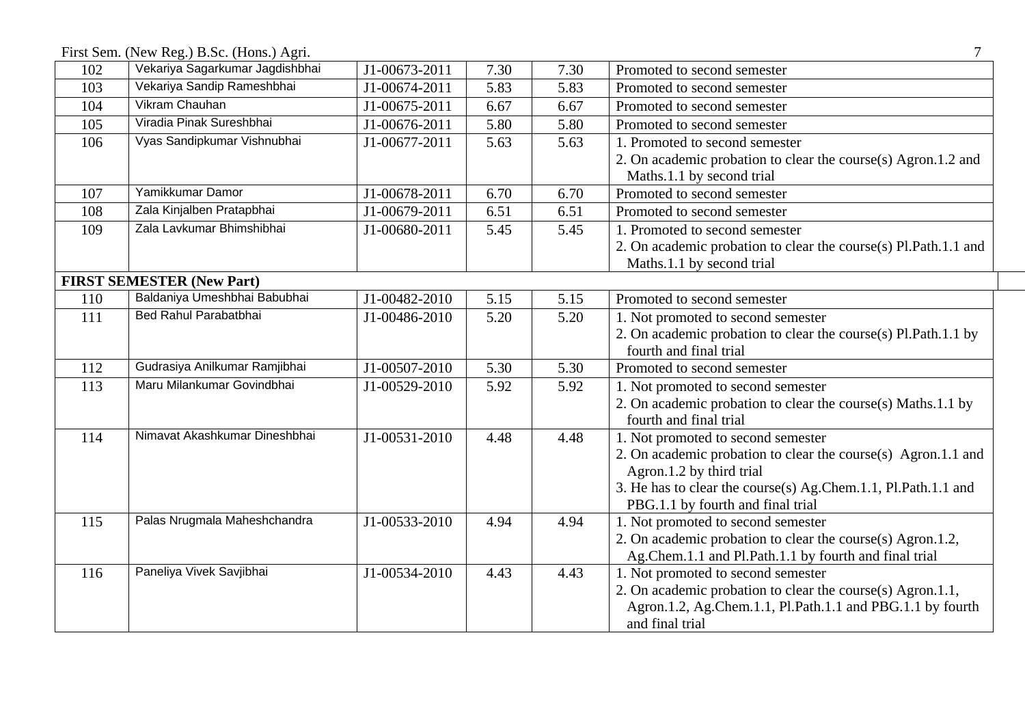First Sem. (New Reg.) B.Sc. (Hons.) Agri. 7

| 102 | Vekariya Sagarkumar Jagdishbhai  | J1-00673-2011 | 7.30 | 7.30 | Promoted to second semester                                     |
|-----|----------------------------------|---------------|------|------|-----------------------------------------------------------------|
| 103 | Vekariya Sandip Rameshbhai       | J1-00674-2011 | 5.83 | 5.83 | Promoted to second semester                                     |
| 104 | <b>Vikram Chauhan</b>            | J1-00675-2011 | 6.67 | 6.67 | Promoted to second semester                                     |
| 105 | Viradia Pinak Sureshbhai         | J1-00676-2011 | 5.80 | 5.80 | Promoted to second semester                                     |
| 106 | Vyas Sandipkumar Vishnubhai      | J1-00677-2011 | 5.63 | 5.63 | 1. Promoted to second semester                                  |
|     |                                  |               |      |      | 2. On academic probation to clear the course(s) Agron.1.2 and   |
|     |                                  |               |      |      | Maths.1.1 by second trial                                       |
| 107 | Yamikkumar Damor                 | J1-00678-2011 | 6.70 | 6.70 | Promoted to second semester                                     |
| 108 | Zala Kinjalben Pratapbhai        | J1-00679-2011 | 6.51 | 6.51 | Promoted to second semester                                     |
| 109 | Zala Lavkumar Bhimshibhai        | J1-00680-2011 | 5.45 | 5.45 | 1. Promoted to second semester                                  |
|     |                                  |               |      |      | 2. On academic probation to clear the course(s) Pl.Path.1.1 and |
|     |                                  |               |      |      | Maths.1.1 by second trial                                       |
|     | <b>FIRST SEMESTER (New Part)</b> |               |      |      |                                                                 |
| 110 | Baldaniya Umeshbhai Babubhai     | J1-00482-2010 | 5.15 | 5.15 | Promoted to second semester                                     |
| 111 | Bed Rahul Parabatbhai            | J1-00486-2010 | 5.20 | 5.20 | 1. Not promoted to second semester                              |
|     |                                  |               |      |      | 2. On academic probation to clear the course(s) Pl.Path.1.1 by  |
|     |                                  |               |      |      | fourth and final trial                                          |
| 112 | Gudrasiya Anilkumar Ramjibhai    | J1-00507-2010 | 5.30 | 5.30 | Promoted to second semester                                     |
| 113 | Maru Milankumar Govindbhai       | J1-00529-2010 | 5.92 | 5.92 | 1. Not promoted to second semester                              |
|     |                                  |               |      |      | 2. On academic probation to clear the course(s) Maths.1.1 by    |
|     |                                  |               |      |      | fourth and final trial                                          |
| 114 | Nimavat Akashkumar Dineshbhai    | J1-00531-2010 | 4.48 | 4.48 | 1. Not promoted to second semester                              |
|     |                                  |               |      |      | 2. On academic probation to clear the course(s) Agron.1.1 and   |
|     |                                  |               |      |      | Agron.1.2 by third trial                                        |
|     |                                  |               |      |      | 3. He has to clear the course(s) Ag.Chem.1.1, Pl.Path.1.1 and   |
|     |                                  |               |      |      | PBG.1.1 by fourth and final trial                               |
| 115 | Palas Nrugmala Maheshchandra     | J1-00533-2010 | 4.94 | 4.94 | 1. Not promoted to second semester                              |
|     |                                  |               |      |      | 2. On academic probation to clear the course(s) Agron.1.2,      |
|     |                                  |               |      |      | Ag.Chem.1.1 and Pl.Path.1.1 by fourth and final trial           |
| 116 | Paneliya Vivek Savjibhai         | J1-00534-2010 | 4.43 | 4.43 | 1. Not promoted to second semester                              |
|     |                                  |               |      |      | 2. On academic probation to clear the course(s) Agron.1.1,      |
|     |                                  |               |      |      | Agron.1.2, Ag.Chem.1.1, Pl.Path.1.1 and PBG.1.1 by fourth       |
|     |                                  |               |      |      | and final trial                                                 |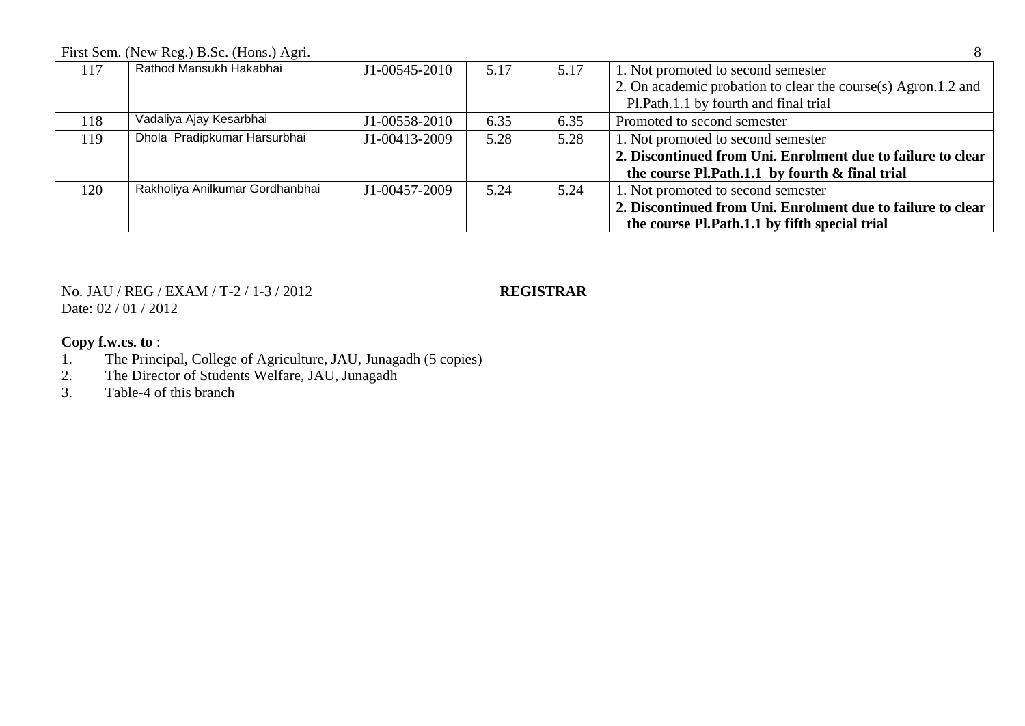First Sem. (New Reg.) B.Sc. (Hons.) Agri. 8

| 117 | Rathod Mansukh Hakabhai         | J1-00545-2010 | 5.17 | 5.17 | 1. Not promoted to second semester                            |
|-----|---------------------------------|---------------|------|------|---------------------------------------------------------------|
|     |                                 |               |      |      | 2. On academic probation to clear the course(s) Agron.1.2 and |
|     |                                 |               |      |      | Pl. Path. 1.1 by fourth and final trial                       |
| 118 | Vadaliya Ajay Kesarbhai         | J1-00558-2010 | 6.35 | 6.35 | Promoted to second semester                                   |
| 119 | Dhola Pradipkumar Harsurbhai    | J1-00413-2009 | 5.28 | 5.28 | 1. Not promoted to second semester                            |
|     |                                 |               |      |      | 2. Discontinued from Uni. Enrolment due to failure to clear   |
|     |                                 |               |      |      | the course Pl.Path.1.1 by fourth & final trial                |
| 120 | Rakholiya Anilkumar Gordhanbhai | J1-00457-2009 | 5.24 | 5.24 | 1. Not promoted to second semester                            |
|     |                                 |               |      |      | 2. Discontinued from Uni. Enrolment due to failure to clear   |
|     |                                 |               |      |      | the course Pl.Path.1.1 by fifth special trial                 |

## No. JAU / REG / EXAM / T-2 / 1-3 / 2012 **REGISTRAR** Date: 02 / 01 / 2012

- 1. The Principal, College of Agriculture, JAU, Junagadh (5 copies)<br>2. The Director of Students Welfare, JAU, Junagadh
- 2. The Director of Students Welfare, JAU, Junagadh<br>
3. Table-4 of this branch
- Table-4 of this branch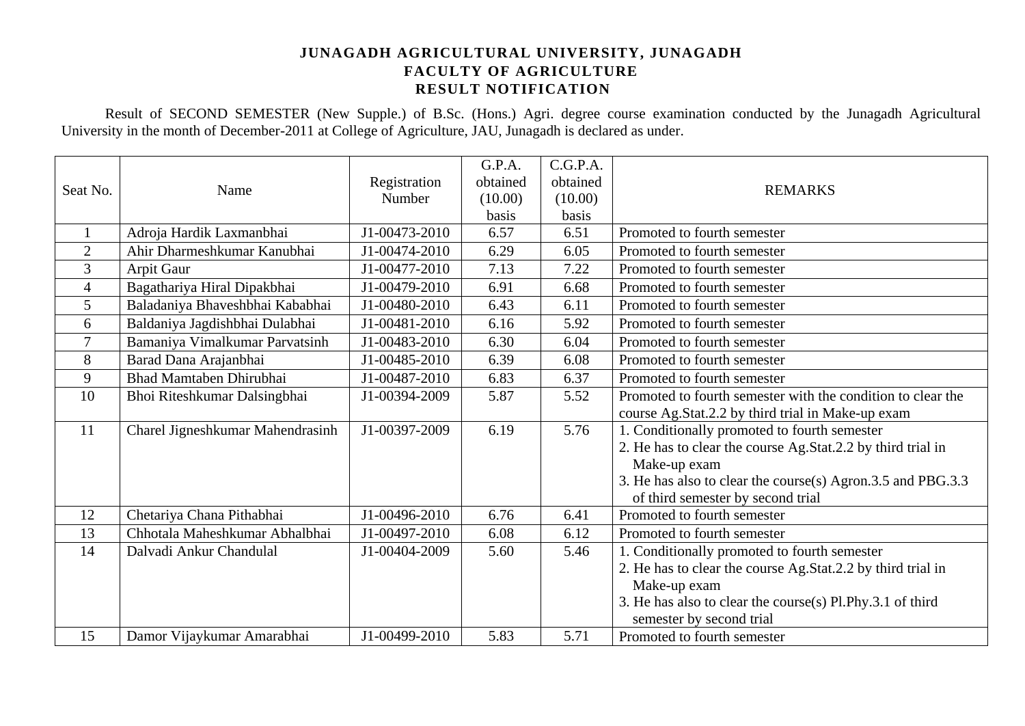Result of SECOND SEMESTER (New Supple.) of B.Sc. (Hons.) Agri. degree course examination conducted by the Junagadh Agricultural University in the month of December-2011 at College of Agriculture, JAU, Junagadh is declared as under.

| Seat No.       | Name                             | Registration<br>Number | G.P.A.<br>obtained<br>(10.00)<br>basis | C.G.P.A.<br>obtained<br>(10.00)<br>basis | <b>REMARKS</b>                                                                                   |
|----------------|----------------------------------|------------------------|----------------------------------------|------------------------------------------|--------------------------------------------------------------------------------------------------|
| $\mathbf{1}$   | Adroja Hardik Laxmanbhai         | J1-00473-2010          | 6.57                                   | 6.51                                     | Promoted to fourth semester                                                                      |
| $\overline{2}$ | Ahir Dharmeshkumar Kanubhai      | J1-00474-2010          | 6.29                                   | 6.05                                     | Promoted to fourth semester                                                                      |
| 3              | Arpit Gaur                       | J1-00477-2010          | 7.13                                   | 7.22                                     | Promoted to fourth semester                                                                      |
| $\overline{4}$ | Bagathariya Hiral Dipakbhai      | J1-00479-2010          | 6.91                                   | 6.68                                     | Promoted to fourth semester                                                                      |
| 5              | Baladaniya Bhaveshbhai Kababhai  | J1-00480-2010          | 6.43                                   | 6.11                                     | Promoted to fourth semester                                                                      |
| 6              | Baldaniya Jagdishbhai Dulabhai   | J1-00481-2010          | 6.16                                   | 5.92                                     | Promoted to fourth semester                                                                      |
| $\overline{7}$ | Bamaniya Vimalkumar Parvatsinh   | J1-00483-2010          | 6.30                                   | 6.04                                     | Promoted to fourth semester                                                                      |
| 8              | Barad Dana Arajanbhai            | J1-00485-2010          | 6.39                                   | 6.08                                     | Promoted to fourth semester                                                                      |
| 9              | <b>Bhad Mamtaben Dhirubhai</b>   | J1-00487-2010          | 6.83                                   | 6.37                                     | Promoted to fourth semester                                                                      |
| 10             | Bhoi Riteshkumar Dalsingbhai     | J1-00394-2009          | 5.87                                   | 5.52                                     | Promoted to fourth semester with the condition to clear the                                      |
|                |                                  |                        |                                        |                                          | course Ag.Stat.2.2 by third trial in Make-up exam                                                |
| 11             | Charel Jigneshkumar Mahendrasinh | J1-00397-2009          | 6.19                                   | 5.76                                     | 1. Conditionally promoted to fourth semester                                                     |
|                |                                  |                        |                                        |                                          | 2. He has to clear the course Ag.Stat.2.2 by third trial in                                      |
|                |                                  |                        |                                        |                                          | Make-up exam                                                                                     |
|                |                                  |                        |                                        |                                          | 3. He has also to clear the course(s) Agron.3.5 and PBG.3.3<br>of third semester by second trial |
| 12             | Chetariya Chana Pithabhai        | J1-00496-2010          | 6.76                                   | 6.41                                     | Promoted to fourth semester                                                                      |
| 13             | Chhotala Maheshkumar Abhalbhai   | J1-00497-2010          | 6.08                                   | 6.12                                     | Promoted to fourth semester                                                                      |
| 14             | Dalvadi Ankur Chandulal          | J1-00404-2009          | 5.60                                   | 5.46                                     | 1. Conditionally promoted to fourth semester                                                     |
|                |                                  |                        |                                        |                                          | 2. He has to clear the course Ag.Stat.2.2 by third trial in                                      |
|                |                                  |                        |                                        |                                          | Make-up exam                                                                                     |
|                |                                  |                        |                                        |                                          | 3. He has also to clear the course(s) Pl.Phy.3.1 of third                                        |
|                |                                  |                        |                                        |                                          | semester by second trial                                                                         |
| 15             | Damor Vijaykumar Amarabhai       | J1-00499-2010          | 5.83                                   | 5.71                                     | Promoted to fourth semester                                                                      |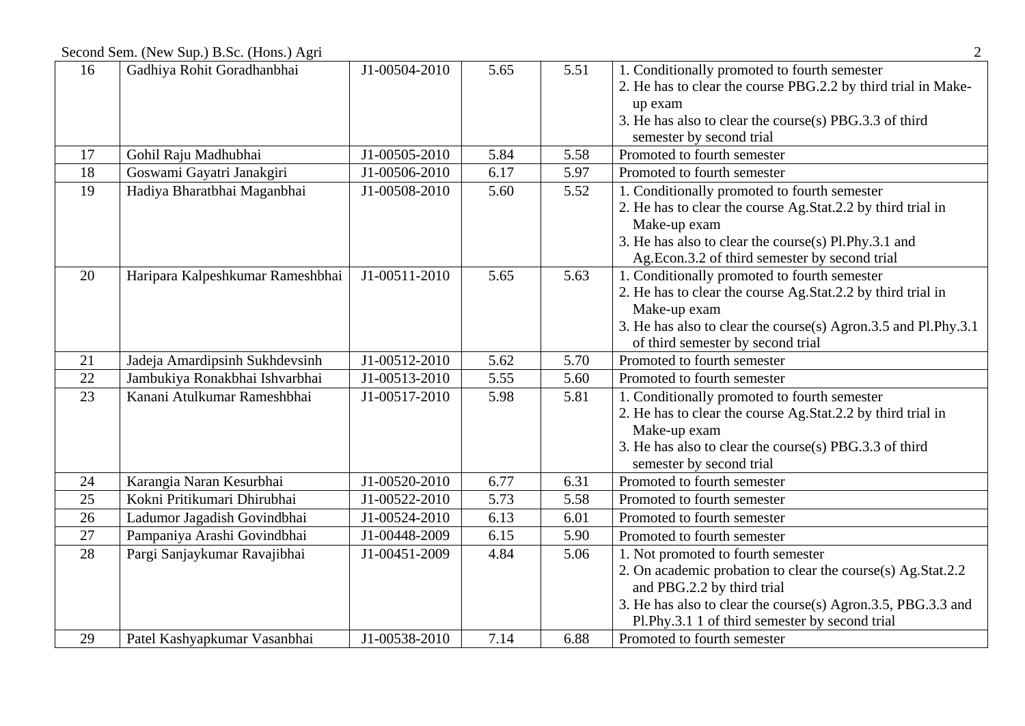Second Sem. (New Sup.) B.Sc. (Hons.) Agri 2

| 16 | Gadhiya Rohit Goradhanbhai       | J1-00504-2010 | 5.65 | 5.51 | 1. Conditionally promoted to fourth semester                   |
|----|----------------------------------|---------------|------|------|----------------------------------------------------------------|
|    |                                  |               |      |      | 2. He has to clear the course PBG.2.2 by third trial in Make-  |
|    |                                  |               |      |      | up exam                                                        |
|    |                                  |               |      |      | 3. He has also to clear the course(s) PBG.3.3 of third         |
|    |                                  |               |      |      | semester by second trial                                       |
| 17 | Gohil Raju Madhubhai             | J1-00505-2010 | 5.84 | 5.58 | Promoted to fourth semester                                    |
| 18 | Goswami Gayatri Janakgiri        | J1-00506-2010 | 6.17 | 5.97 | Promoted to fourth semester                                    |
| 19 | Hadiya Bharatbhai Maganbhai      | J1-00508-2010 | 5.60 | 5.52 | 1. Conditionally promoted to fourth semester                   |
|    |                                  |               |      |      | 2. He has to clear the course Ag.Stat.2.2 by third trial in    |
|    |                                  |               |      |      | Make-up exam                                                   |
|    |                                  |               |      |      | 3. He has also to clear the course(s) Pl.Phy.3.1 and           |
|    |                                  |               |      |      | Ag.Econ.3.2 of third semester by second trial                  |
| 20 | Haripara Kalpeshkumar Rameshbhai | J1-00511-2010 | 5.65 | 5.63 | 1. Conditionally promoted to fourth semester                   |
|    |                                  |               |      |      | 2. He has to clear the course Ag.Stat.2.2 by third trial in    |
|    |                                  |               |      |      | Make-up exam                                                   |
|    |                                  |               |      |      | 3. He has also to clear the course(s) Agron.3.5 and Pl.Phy.3.1 |
|    |                                  |               |      |      | of third semester by second trial                              |
| 21 | Jadeja Amardipsinh Sukhdevsinh   | J1-00512-2010 | 5.62 | 5.70 | Promoted to fourth semester                                    |
| 22 | Jambukiya Ronakbhai Ishvarbhai   | J1-00513-2010 | 5.55 | 5.60 | Promoted to fourth semester                                    |
| 23 | Kanani Atulkumar Rameshbhai      | J1-00517-2010 | 5.98 | 5.81 | 1. Conditionally promoted to fourth semester                   |
|    |                                  |               |      |      | 2. He has to clear the course Ag.Stat.2.2 by third trial in    |
|    |                                  |               |      |      | Make-up exam                                                   |
|    |                                  |               |      |      | 3. He has also to clear the course(s) PBG.3.3 of third         |
|    |                                  |               |      |      | semester by second trial                                       |
| 24 | Karangia Naran Kesurbhai         | J1-00520-2010 | 6.77 | 6.31 | Promoted to fourth semester                                    |
| 25 | Kokni Pritikumari Dhirubhai      | J1-00522-2010 | 5.73 | 5.58 | Promoted to fourth semester                                    |
| 26 | Ladumor Jagadish Govindbhai      | J1-00524-2010 | 6.13 | 6.01 | Promoted to fourth semester                                    |
| 27 | Pampaniya Arashi Govindbhai      | J1-00448-2009 | 6.15 | 5.90 | Promoted to fourth semester                                    |
| 28 | Pargi Sanjaykumar Ravajibhai     | J1-00451-2009 | 4.84 | 5.06 | 1. Not promoted to fourth semester                             |
|    |                                  |               |      |      | 2. On academic probation to clear the course(s) Ag.Stat.2.2    |
|    |                                  |               |      |      | and PBG.2.2 by third trial                                     |
|    |                                  |               |      |      | 3. He has also to clear the course(s) Agron.3.5, PBG.3.3 and   |
|    |                                  |               |      |      | Pl.Phy.3.1 1 of third semester by second trial                 |
| 29 | Patel Kashyapkumar Vasanbhai     | J1-00538-2010 | 7.14 | 6.88 | Promoted to fourth semester                                    |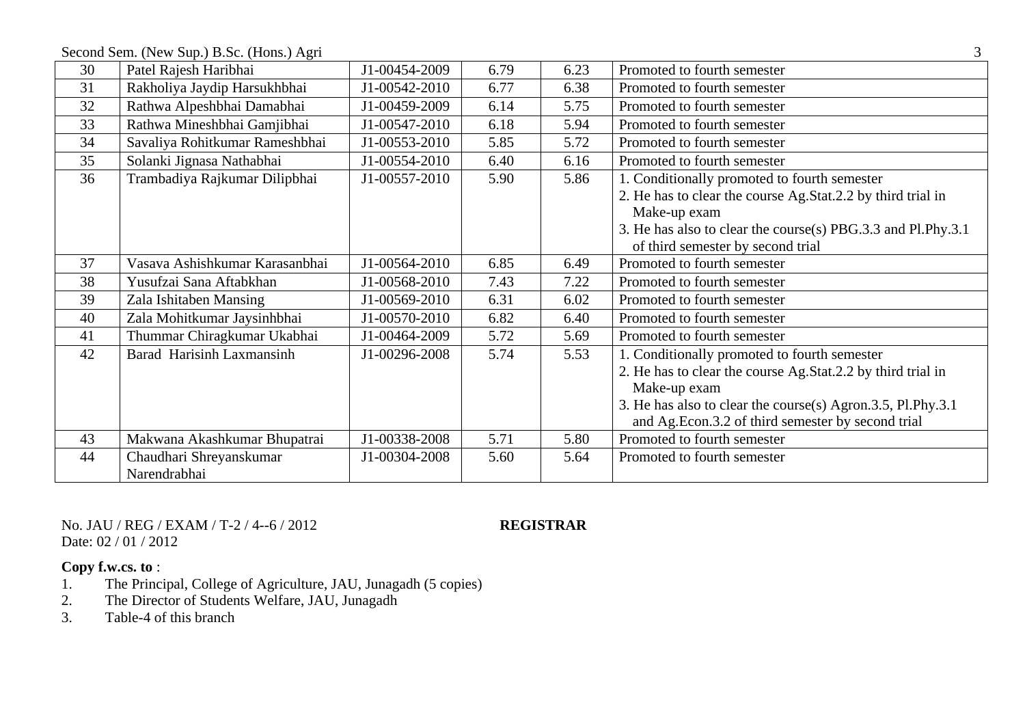Second Sem. (New Sup.) B.Sc. (Hons.) Agri 3

|    | $\circ$                        |               |      |      |                                                              |
|----|--------------------------------|---------------|------|------|--------------------------------------------------------------|
| 30 | Patel Rajesh Haribhai          | J1-00454-2009 | 6.79 | 6.23 | Promoted to fourth semester                                  |
| 31 | Rakholiya Jaydip Harsukhbhai   | J1-00542-2010 | 6.77 | 6.38 | Promoted to fourth semester                                  |
| 32 | Rathwa Alpeshbhai Damabhai     | J1-00459-2009 | 6.14 | 5.75 | Promoted to fourth semester                                  |
| 33 | Rathwa Mineshbhai Gamjibhai    | J1-00547-2010 | 6.18 | 5.94 | Promoted to fourth semester                                  |
| 34 | Savaliya Rohitkumar Rameshbhai | J1-00553-2010 | 5.85 | 5.72 | Promoted to fourth semester                                  |
| 35 | Solanki Jignasa Nathabhai      | J1-00554-2010 | 6.40 | 6.16 | Promoted to fourth semester                                  |
| 36 | Trambadiya Rajkumar Dilipbhai  | J1-00557-2010 | 5.90 | 5.86 | 1. Conditionally promoted to fourth semester                 |
|    |                                |               |      |      | 2. He has to clear the course Ag.Stat.2.2 by third trial in  |
|    |                                |               |      |      | Make-up exam                                                 |
|    |                                |               |      |      | 3. He has also to clear the course(s) PBG.3.3 and Pl.Phy.3.1 |
|    |                                |               |      |      | of third semester by second trial                            |
| 37 | Vasava Ashishkumar Karasanbhai | J1-00564-2010 | 6.85 | 6.49 | Promoted to fourth semester                                  |
| 38 | Yusufzai Sana Aftabkhan        | J1-00568-2010 | 7.43 | 7.22 | Promoted to fourth semester                                  |
| 39 | Zala Ishitaben Mansing         | J1-00569-2010 | 6.31 | 6.02 | Promoted to fourth semester                                  |
| 40 | Zala Mohitkumar Jaysinhbhai    | J1-00570-2010 | 6.82 | 6.40 | Promoted to fourth semester                                  |
| 41 | Thummar Chiragkumar Ukabhai    | J1-00464-2009 | 5.72 | 5.69 | Promoted to fourth semester                                  |
| 42 | Barad Harisinh Laxmansinh      | J1-00296-2008 | 5.74 | 5.53 | 1. Conditionally promoted to fourth semester                 |
|    |                                |               |      |      | 2. He has to clear the course Ag.Stat.2.2 by third trial in  |
|    |                                |               |      |      | Make-up exam                                                 |
|    |                                |               |      |      | 3. He has also to clear the course(s) Agron.3.5, Pl.Phy.3.1  |
|    |                                |               |      |      | and Ag.Econ.3.2 of third semester by second trial            |
| 43 | Makwana Akashkumar Bhupatrai   | J1-00338-2008 | 5.71 | 5.80 | Promoted to fourth semester                                  |
| 44 | Chaudhari Shreyanskumar        | J1-00304-2008 | 5.60 | 5.64 | Promoted to fourth semester                                  |
|    | Narendrabhai                   |               |      |      |                                                              |

No. JAU / REG / EXAM / T-2 / 4--6 / 2012 **REGISTRAR** Date: 02 / 01 / 2012

- 1. The Principal, College of Agriculture, JAU, Junagadh (5 copies)
- 2. The Director of Students Welfare, JAU, Junagadh<br>
3. Table-4 of this branch
- Table-4 of this branch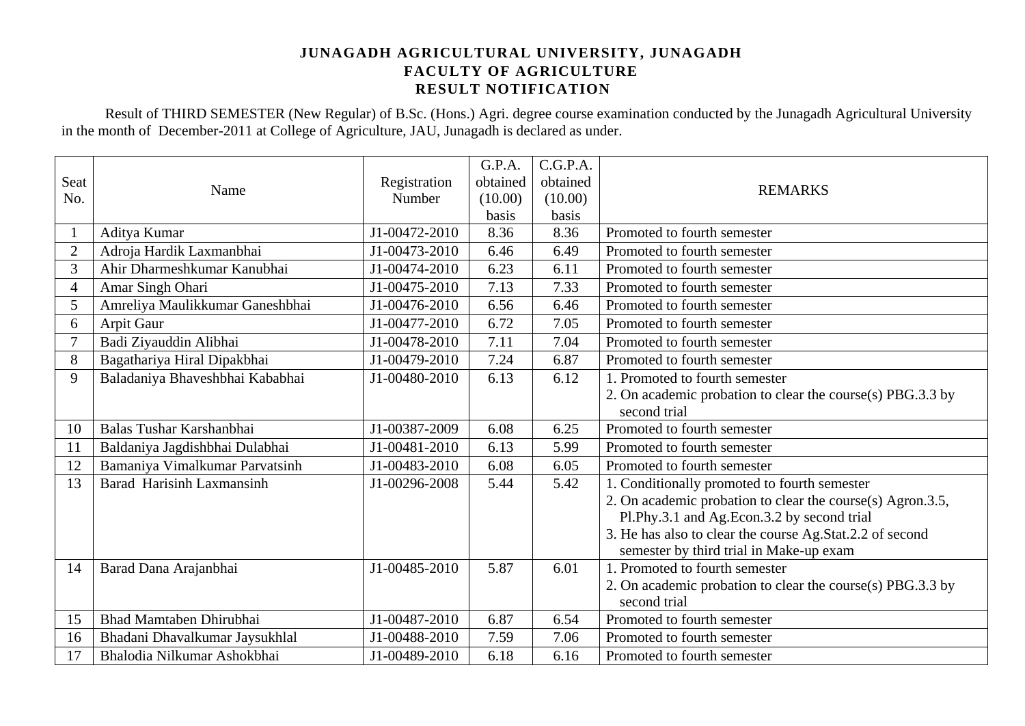Result of THIRD SEMESTER (New Regular) of B.Sc. (Hons.) Agri. degree course examination conducted by the Junagadh Agricultural University in the month of December-2011 at College of Agriculture, JAU, Junagadh is declared as under.

|                |                                 |               | G.P.A.   | C.G.P.A. |                                                            |
|----------------|---------------------------------|---------------|----------|----------|------------------------------------------------------------|
| Seat           | Name                            | Registration  | obtained | obtained | <b>REMARKS</b>                                             |
| No.            |                                 | Number        | (10.00)  | (10.00)  |                                                            |
|                |                                 |               | basis    | basis    |                                                            |
|                | Aditya Kumar                    | J1-00472-2010 | 8.36     | 8.36     | Promoted to fourth semester                                |
| $\overline{2}$ | Adroja Hardik Laxmanbhai        | J1-00473-2010 | 6.46     | 6.49     | Promoted to fourth semester                                |
| 3              | Ahir Dharmeshkumar Kanubhai     | J1-00474-2010 | 6.23     | 6.11     | Promoted to fourth semester                                |
| $\overline{4}$ | Amar Singh Ohari                | J1-00475-2010 | 7.13     | 7.33     | Promoted to fourth semester                                |
| 5              | Amreliya Maulikkumar Ganeshbhai | J1-00476-2010 | 6.56     | 6.46     | Promoted to fourth semester                                |
| 6              | Arpit Gaur                      | J1-00477-2010 | 6.72     | 7.05     | Promoted to fourth semester                                |
| $\overline{7}$ | Badi Ziyauddin Alibhai          | J1-00478-2010 | 7.11     | 7.04     | Promoted to fourth semester                                |
| 8              | Bagathariya Hiral Dipakbhai     | J1-00479-2010 | 7.24     | 6.87     | Promoted to fourth semester                                |
| 9              | Baladaniya Bhaveshbhai Kababhai | J1-00480-2010 | 6.13     | 6.12     | 1. Promoted to fourth semester                             |
|                |                                 |               |          |          | 2. On academic probation to clear the course(s) PBG.3.3 by |
|                |                                 |               |          |          | second trial                                               |
| 10             | Balas Tushar Karshanbhai        | J1-00387-2009 | 6.08     | 6.25     | Promoted to fourth semester                                |
| 11             | Baldaniya Jagdishbhai Dulabhai  | J1-00481-2010 | 6.13     | 5.99     | Promoted to fourth semester                                |
| 12             | Bamaniya Vimalkumar Parvatsinh  | J1-00483-2010 | 6.08     | 6.05     | Promoted to fourth semester                                |
| 13             | Barad Harisinh Laxmansinh       | J1-00296-2008 | 5.44     | 5.42     | 1. Conditionally promoted to fourth semester               |
|                |                                 |               |          |          | 2. On academic probation to clear the course(s) Agron.3.5, |
|                |                                 |               |          |          | Pl.Phy.3.1 and Ag.Econ.3.2 by second trial                 |
|                |                                 |               |          |          | 3. He has also to clear the course Ag.Stat.2.2 of second   |
|                |                                 |               |          |          | semester by third trial in Make-up exam                    |
| 14             | Barad Dana Arajanbhai           | J1-00485-2010 | 5.87     | 6.01     | 1. Promoted to fourth semester                             |
|                |                                 |               |          |          | 2. On academic probation to clear the course(s) PBG.3.3 by |
|                |                                 |               |          |          | second trial                                               |
| 15             | <b>Bhad Mamtaben Dhirubhai</b>  | J1-00487-2010 | 6.87     | 6.54     | Promoted to fourth semester                                |
| 16             | Bhadani Dhavalkumar Jaysukhlal  | J1-00488-2010 | 7.59     | 7.06     | Promoted to fourth semester                                |
| 17             | Bhalodia Nilkumar Ashokbhai     | J1-00489-2010 | 6.18     | 6.16     | Promoted to fourth semester                                |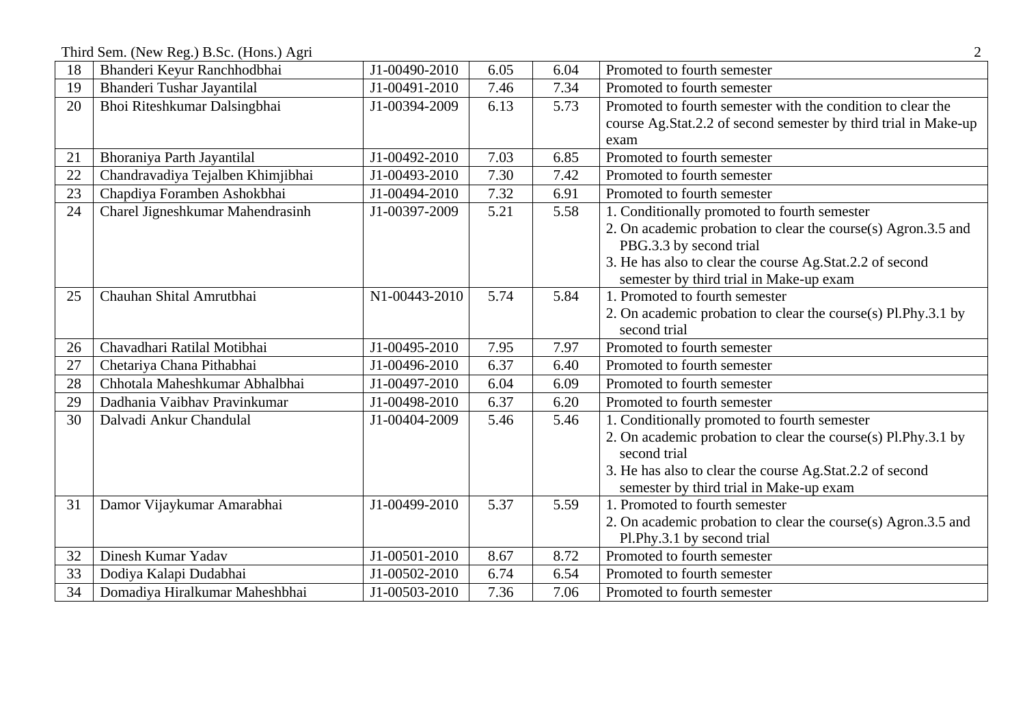Third Sem. (New Reg.) B.Sc. (Hons.) Agri 2

| 18 | Bhanderi Keyur Ranchhodbhai       | J1-00490-2010 | 6.05 | 6.04 | Promoted to fourth semester                                     |
|----|-----------------------------------|---------------|------|------|-----------------------------------------------------------------|
| 19 | Bhanderi Tushar Jayantilal        | J1-00491-2010 | 7.46 | 7.34 | Promoted to fourth semester                                     |
| 20 | Bhoi Riteshkumar Dalsingbhai      | J1-00394-2009 | 6.13 | 5.73 | Promoted to fourth semester with the condition to clear the     |
|    |                                   |               |      |      | course Ag.Stat.2.2 of second semester by third trial in Make-up |
|    |                                   |               |      |      | exam                                                            |
| 21 | Bhoraniya Parth Jayantilal        | J1-00492-2010 | 7.03 | 6.85 | Promoted to fourth semester                                     |
| 22 | Chandravadiya Tejalben Khimjibhai | J1-00493-2010 | 7.30 | 7.42 | Promoted to fourth semester                                     |
| 23 | Chapdiya Foramben Ashokbhai       | J1-00494-2010 | 7.32 | 6.91 | Promoted to fourth semester                                     |
| 24 | Charel Jigneshkumar Mahendrasinh  | J1-00397-2009 | 5.21 | 5.58 | 1. Conditionally promoted to fourth semester                    |
|    |                                   |               |      |      | 2. On academic probation to clear the course(s) Agron.3.5 and   |
|    |                                   |               |      |      | PBG.3.3 by second trial                                         |
|    |                                   |               |      |      | 3. He has also to clear the course Ag.Stat.2.2 of second        |
|    |                                   |               |      |      | semester by third trial in Make-up exam                         |
| 25 | Chauhan Shital Amrutbhai          | N1-00443-2010 | 5.74 | 5.84 | 1. Promoted to fourth semester                                  |
|    |                                   |               |      |      | 2. On academic probation to clear the course(s) Pl.Phy.3.1 by   |
|    |                                   |               |      |      | second trial                                                    |
| 26 | Chavadhari Ratilal Motibhai       | J1-00495-2010 | 7.95 | 7.97 | Promoted to fourth semester                                     |
| 27 | Chetariya Chana Pithabhai         | J1-00496-2010 | 6.37 | 6.40 | Promoted to fourth semester                                     |
| 28 | Chhotala Maheshkumar Abhalbhai    | J1-00497-2010 | 6.04 | 6.09 | Promoted to fourth semester                                     |
| 29 | Dadhania Vaibhav Pravinkumar      | J1-00498-2010 | 6.37 | 6.20 | Promoted to fourth semester                                     |
| 30 | Dalvadi Ankur Chandulal           | J1-00404-2009 | 5.46 | 5.46 | 1. Conditionally promoted to fourth semester                    |
|    |                                   |               |      |      | 2. On academic probation to clear the course(s) Pl.Phy.3.1 by   |
|    |                                   |               |      |      | second trial                                                    |
|    |                                   |               |      |      | 3. He has also to clear the course Ag.Stat.2.2 of second        |
|    |                                   |               |      |      | semester by third trial in Make-up exam                         |
| 31 | Damor Vijaykumar Amarabhai        | J1-00499-2010 | 5.37 | 5.59 | 1. Promoted to fourth semester                                  |
|    |                                   |               |      |      | 2. On academic probation to clear the course(s) Agron.3.5 and   |
|    |                                   |               |      |      | Pl.Phy.3.1 by second trial                                      |
| 32 | Dinesh Kumar Yadav                | J1-00501-2010 | 8.67 | 8.72 | Promoted to fourth semester                                     |
| 33 | Dodiya Kalapi Dudabhai            | J1-00502-2010 | 6.74 | 6.54 | Promoted to fourth semester                                     |
| 34 | Domadiya Hiralkumar Maheshbhai    | J1-00503-2010 | 7.36 | 7.06 | Promoted to fourth semester                                     |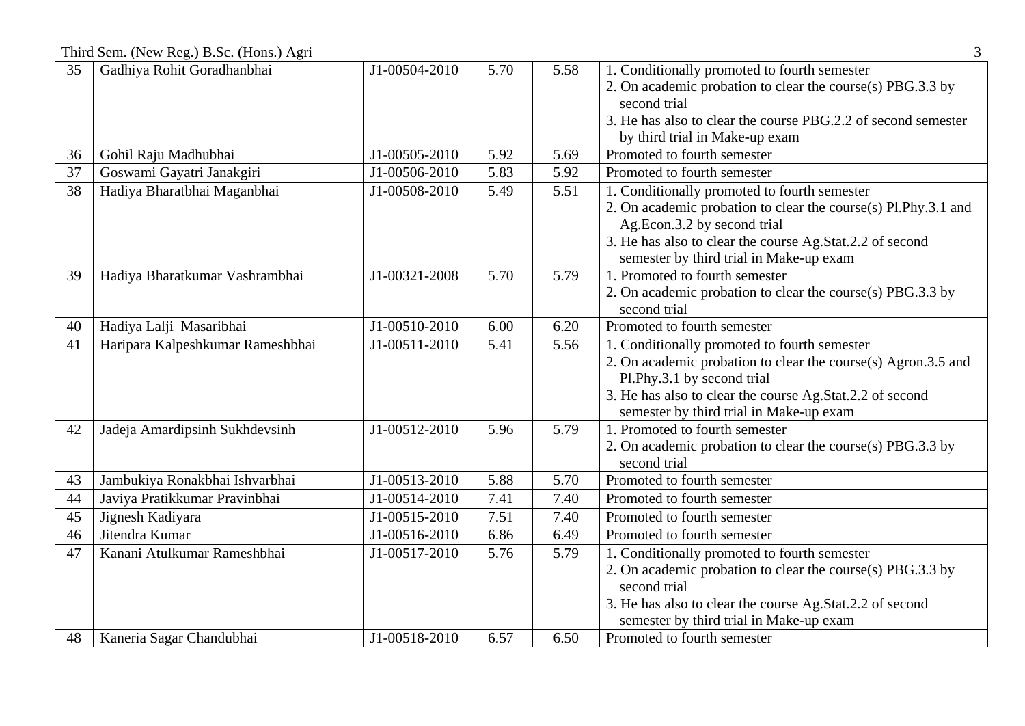Third Sem. (New Reg.) B.Sc. (Hons.) Agri 3

| 35 | Gadhiya Rohit Goradhanbhai       | J1-00504-2010 | 5.70 | 5.58 | 1. Conditionally promoted to fourth semester                   |
|----|----------------------------------|---------------|------|------|----------------------------------------------------------------|
|    |                                  |               |      |      | 2. On academic probation to clear the course(s) PBG.3.3 by     |
|    |                                  |               |      |      | second trial                                                   |
|    |                                  |               |      |      | 3. He has also to clear the course PBG.2.2 of second semester  |
|    |                                  |               |      |      | by third trial in Make-up exam                                 |
| 36 | Gohil Raju Madhubhai             | J1-00505-2010 | 5.92 | 5.69 | Promoted to fourth semester                                    |
| 37 | Goswami Gayatri Janakgiri        | J1-00506-2010 | 5.83 | 5.92 | Promoted to fourth semester                                    |
| 38 | Hadiya Bharatbhai Maganbhai      | J1-00508-2010 | 5.49 | 5.51 | 1. Conditionally promoted to fourth semester                   |
|    |                                  |               |      |      | 2. On academic probation to clear the course(s) Pl.Phy.3.1 and |
|    |                                  |               |      |      | Ag.Econ.3.2 by second trial                                    |
|    |                                  |               |      |      | 3. He has also to clear the course Ag.Stat.2.2 of second       |
|    |                                  |               |      |      | semester by third trial in Make-up exam                        |
| 39 | Hadiya Bharatkumar Vashrambhai   | J1-00321-2008 | 5.70 | 5.79 | 1. Promoted to fourth semester                                 |
|    |                                  |               |      |      | 2. On academic probation to clear the course(s) PBG.3.3 by     |
|    |                                  |               |      |      | second trial                                                   |
| 40 | Hadiya Lalji Masaribhai          | J1-00510-2010 | 6.00 | 6.20 | Promoted to fourth semester                                    |
| 41 | Haripara Kalpeshkumar Rameshbhai | J1-00511-2010 | 5.41 | 5.56 | 1. Conditionally promoted to fourth semester                   |
|    |                                  |               |      |      | 2. On academic probation to clear the course(s) Agron.3.5 and  |
|    |                                  |               |      |      | Pl.Phy.3.1 by second trial                                     |
|    |                                  |               |      |      | 3. He has also to clear the course Ag.Stat.2.2 of second       |
|    |                                  |               |      |      | semester by third trial in Make-up exam                        |
| 42 | Jadeja Amardipsinh Sukhdevsinh   | J1-00512-2010 | 5.96 | 5.79 | 1. Promoted to fourth semester                                 |
|    |                                  |               |      |      | 2. On academic probation to clear the course(s) PBG.3.3 by     |
|    |                                  |               |      |      | second trial                                                   |
| 43 | Jambukiya Ronakbhai Ishvarbhai   | J1-00513-2010 | 5.88 | 5.70 | Promoted to fourth semester                                    |
| 44 | Javiya Pratikkumar Pravinbhai    | J1-00514-2010 | 7.41 | 7.40 | Promoted to fourth semester                                    |
| 45 | Jignesh Kadiyara                 | J1-00515-2010 | 7.51 | 7.40 | Promoted to fourth semester                                    |
| 46 | Jitendra Kumar                   | J1-00516-2010 | 6.86 | 6.49 | Promoted to fourth semester                                    |
| 47 | Kanani Atulkumar Rameshbhai      | J1-00517-2010 | 5.76 | 5.79 | 1. Conditionally promoted to fourth semester                   |
|    |                                  |               |      |      | 2. On academic probation to clear the course(s) PBG.3.3 by     |
|    |                                  |               |      |      | second trial                                                   |
|    |                                  |               |      |      | 3. He has also to clear the course Ag.Stat.2.2 of second       |
|    |                                  |               |      |      | semester by third trial in Make-up exam                        |
| 48 | Kaneria Sagar Chandubhai         | J1-00518-2010 | 6.57 | 6.50 | Promoted to fourth semester                                    |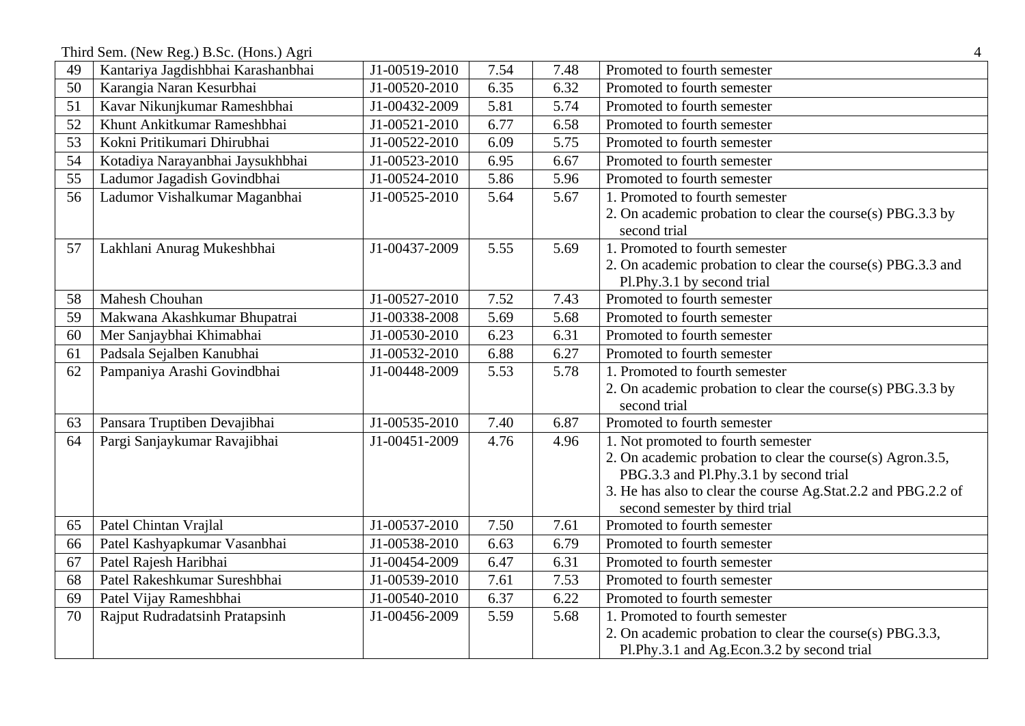Third Sem. (New Reg.) B.Sc. (Hons.) Agri 4

| 49              | Kantariya Jagdishbhai Karashanbhai | J1-00519-2010 | 7.54 | 7.48 | Promoted to fourth semester                                   |
|-----------------|------------------------------------|---------------|------|------|---------------------------------------------------------------|
| 50              | Karangia Naran Kesurbhai           | J1-00520-2010 | 6.35 | 6.32 | Promoted to fourth semester                                   |
| 51              | Kavar Nikunjkumar Rameshbhai       | J1-00432-2009 | 5.81 | 5.74 | Promoted to fourth semester                                   |
| 52              | Khunt Ankitkumar Rameshbhai        | J1-00521-2010 | 6.77 | 6.58 | Promoted to fourth semester                                   |
| 53              | Kokni Pritikumari Dhirubhai        | J1-00522-2010 | 6.09 | 5.75 | Promoted to fourth semester                                   |
| 54              | Kotadiya Narayanbhai Jaysukhbhai   | J1-00523-2010 | 6.95 | 6.67 | Promoted to fourth semester                                   |
| $\overline{55}$ | Ladumor Jagadish Govindbhai        | J1-00524-2010 | 5.86 | 5.96 | Promoted to fourth semester                                   |
| 56              | Ladumor Vishalkumar Maganbhai      | J1-00525-2010 | 5.64 | 5.67 | 1. Promoted to fourth semester                                |
|                 |                                    |               |      |      | 2. On academic probation to clear the course(s) PBG.3.3 by    |
|                 |                                    |               |      |      | second trial                                                  |
| 57              | Lakhlani Anurag Mukeshbhai         | J1-00437-2009 | 5.55 | 5.69 | 1. Promoted to fourth semester                                |
|                 |                                    |               |      |      | 2. On academic probation to clear the course(s) PBG.3.3 and   |
|                 |                                    |               |      |      | Pl.Phy.3.1 by second trial                                    |
| 58              | <b>Mahesh Chouhan</b>              | J1-00527-2010 | 7.52 | 7.43 | Promoted to fourth semester                                   |
| 59              | Makwana Akashkumar Bhupatrai       | J1-00338-2008 | 5.69 | 5.68 | Promoted to fourth semester                                   |
| 60              | Mer Sanjaybhai Khimabhai           | J1-00530-2010 | 6.23 | 6.31 | Promoted to fourth semester                                   |
| 61              | Padsala Sejalben Kanubhai          | J1-00532-2010 | 6.88 | 6.27 | Promoted to fourth semester                                   |
| 62              | Pampaniya Arashi Govindbhai        | J1-00448-2009 | 5.53 | 5.78 | 1. Promoted to fourth semester                                |
|                 |                                    |               |      |      | 2. On academic probation to clear the course(s) PBG.3.3 by    |
|                 |                                    |               |      |      | second trial                                                  |
| 63              | Pansara Truptiben Devajibhai       | J1-00535-2010 | 7.40 | 6.87 | Promoted to fourth semester                                   |
| 64              | Pargi Sanjaykumar Ravajibhai       | J1-00451-2009 | 4.76 | 4.96 | 1. Not promoted to fourth semester                            |
|                 |                                    |               |      |      | 2. On academic probation to clear the course(s) Agron.3.5,    |
|                 |                                    |               |      |      | PBG.3.3 and Pl.Phy.3.1 by second trial                        |
|                 |                                    |               |      |      | 3. He has also to clear the course Ag.Stat.2.2 and PBG.2.2 of |
|                 |                                    |               |      |      | second semester by third trial                                |
| 65              | Patel Chintan Vrajlal              | J1-00537-2010 | 7.50 | 7.61 | Promoted to fourth semester                                   |
| 66              | Patel Kashyapkumar Vasanbhai       | J1-00538-2010 | 6.63 | 6.79 | Promoted to fourth semester                                   |
| 67              | Patel Rajesh Haribhai              | J1-00454-2009 | 6.47 | 6.31 | Promoted to fourth semester                                   |
| 68              | Patel Rakeshkumar Sureshbhai       | J1-00539-2010 | 7.61 | 7.53 | Promoted to fourth semester                                   |
| 69              | Patel Vijay Rameshbhai             | J1-00540-2010 | 6.37 | 6.22 | Promoted to fourth semester                                   |
| 70              | Rajput Rudradatsinh Pratapsinh     | J1-00456-2009 | 5.59 | 5.68 | 1. Promoted to fourth semester                                |
|                 |                                    |               |      |      | 2. On academic probation to clear the course(s) PBG.3.3,      |
|                 |                                    |               |      |      | Pl.Phy.3.1 and Ag.Econ.3.2 by second trial                    |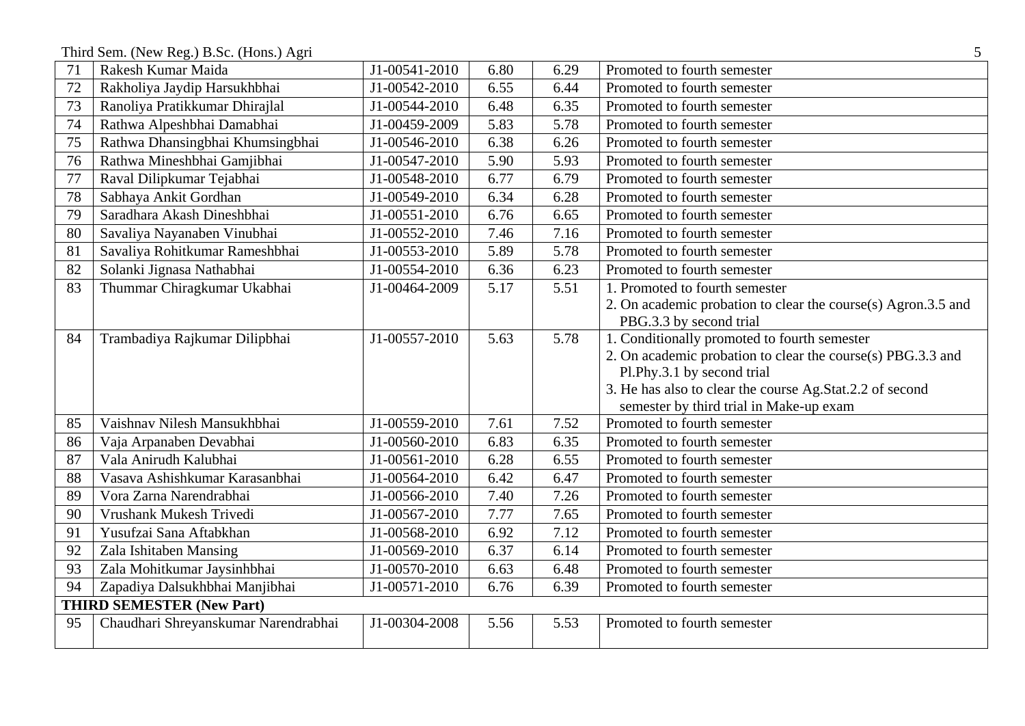Third Sem. (New Reg.) B.Sc. (Hons.) Agri 5

| 71 | Rakesh Kumar Maida                   | J1-00541-2010 | 6.80 | 6.29 | Promoted to fourth semester                                   |
|----|--------------------------------------|---------------|------|------|---------------------------------------------------------------|
| 72 | Rakholiya Jaydip Harsukhbhai         | J1-00542-2010 | 6.55 | 6.44 | Promoted to fourth semester                                   |
| 73 | Ranoliya Pratikkumar Dhirajlal       | J1-00544-2010 | 6.48 | 6.35 | Promoted to fourth semester                                   |
| 74 | Rathwa Alpeshbhai Damabhai           | J1-00459-2009 | 5.83 | 5.78 | Promoted to fourth semester                                   |
| 75 | Rathwa Dhansingbhai Khumsingbhai     | J1-00546-2010 | 6.38 | 6.26 | Promoted to fourth semester                                   |
| 76 | Rathwa Mineshbhai Gamjibhai          | J1-00547-2010 | 5.90 | 5.93 | Promoted to fourth semester                                   |
| 77 | Raval Dilipkumar Tejabhai            | J1-00548-2010 | 6.77 | 6.79 | Promoted to fourth semester                                   |
| 78 | Sabhaya Ankit Gordhan                | J1-00549-2010 | 6.34 | 6.28 | Promoted to fourth semester                                   |
| 79 | Saradhara Akash Dineshbhai           | J1-00551-2010 | 6.76 | 6.65 | Promoted to fourth semester                                   |
| 80 | Savaliya Nayanaben Vinubhai          | J1-00552-2010 | 7.46 | 7.16 | Promoted to fourth semester                                   |
| 81 | Savaliya Rohitkumar Rameshbhai       | J1-00553-2010 | 5.89 | 5.78 | Promoted to fourth semester                                   |
| 82 | Solanki Jignasa Nathabhai            | J1-00554-2010 | 6.36 | 6.23 | Promoted to fourth semester                                   |
| 83 | Thummar Chiragkumar Ukabhai          | J1-00464-2009 | 5.17 | 5.51 | 1. Promoted to fourth semester                                |
|    |                                      |               |      |      | 2. On academic probation to clear the course(s) Agron.3.5 and |
|    |                                      |               |      |      | PBG.3.3 by second trial                                       |
| 84 | Trambadiya Rajkumar Dilipbhai        | J1-00557-2010 | 5.63 | 5.78 | 1. Conditionally promoted to fourth semester                  |
|    |                                      |               |      |      | 2. On academic probation to clear the course(s) PBG.3.3 and   |
|    |                                      |               |      |      | Pl.Phy.3.1 by second trial                                    |
|    |                                      |               |      |      | 3. He has also to clear the course Ag.Stat.2.2 of second      |
|    |                                      |               |      |      | semester by third trial in Make-up exam                       |
| 85 | Vaishnav Nilesh Mansukhbhai          | J1-00559-2010 | 7.61 | 7.52 | Promoted to fourth semester                                   |
| 86 | Vaja Arpanaben Devabhai              | J1-00560-2010 | 6.83 | 6.35 | Promoted to fourth semester                                   |
| 87 | Vala Anirudh Kalubhai                | J1-00561-2010 | 6.28 | 6.55 | Promoted to fourth semester                                   |
| 88 | Vasava Ashishkumar Karasanbhai       | J1-00564-2010 | 6.42 | 6.47 | Promoted to fourth semester                                   |
| 89 | Vora Zarna Narendrabhai              | J1-00566-2010 | 7.40 | 7.26 | Promoted to fourth semester                                   |
| 90 | Vrushank Mukesh Trivedi              | J1-00567-2010 | 7.77 | 7.65 | Promoted to fourth semester                                   |
| 91 | Yusufzai Sana Aftabkhan              | J1-00568-2010 | 6.92 | 7.12 | Promoted to fourth semester                                   |
| 92 | Zala Ishitaben Mansing               | J1-00569-2010 | 6.37 | 6.14 | Promoted to fourth semester                                   |
| 93 | Zala Mohitkumar Jaysinhbhai          | J1-00570-2010 | 6.63 | 6.48 | Promoted to fourth semester                                   |
| 94 | Zapadiya Dalsukhbhai Manjibhai       | J1-00571-2010 | 6.76 | 6.39 | Promoted to fourth semester                                   |
|    | <b>THIRD SEMESTER (New Part)</b>     |               |      |      |                                                               |
| 95 | Chaudhari Shreyanskumar Narendrabhai | J1-00304-2008 | 5.56 | 5.53 | Promoted to fourth semester                                   |
|    |                                      |               |      |      |                                                               |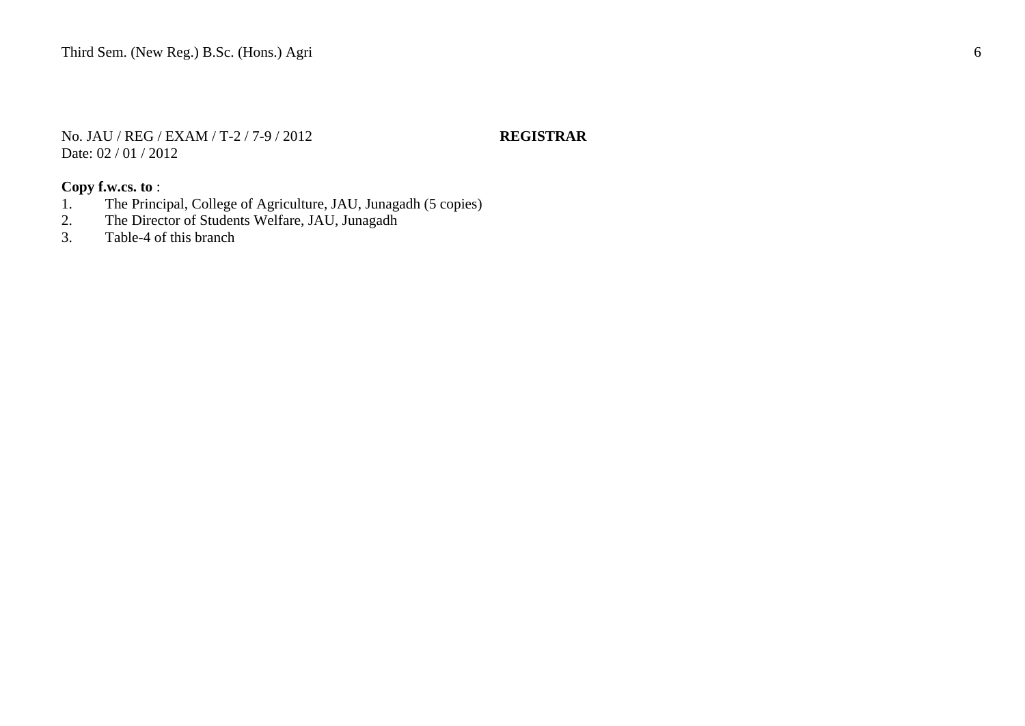No. JAU / REG / EXAM / T-2 / 7-9 / 2012 **REGISTRAR** Date: 02 / 01 / 2012

- 1. The Principal, College of Agriculture, JAU, Junagadh (5 copies)<br>2. The Director of Students Welfare, JAU, Junagadh
- 2. The Director of Students Welfare, JAU, Junagadh<br>3. Table-4 of this branch
- Table-4 of this branch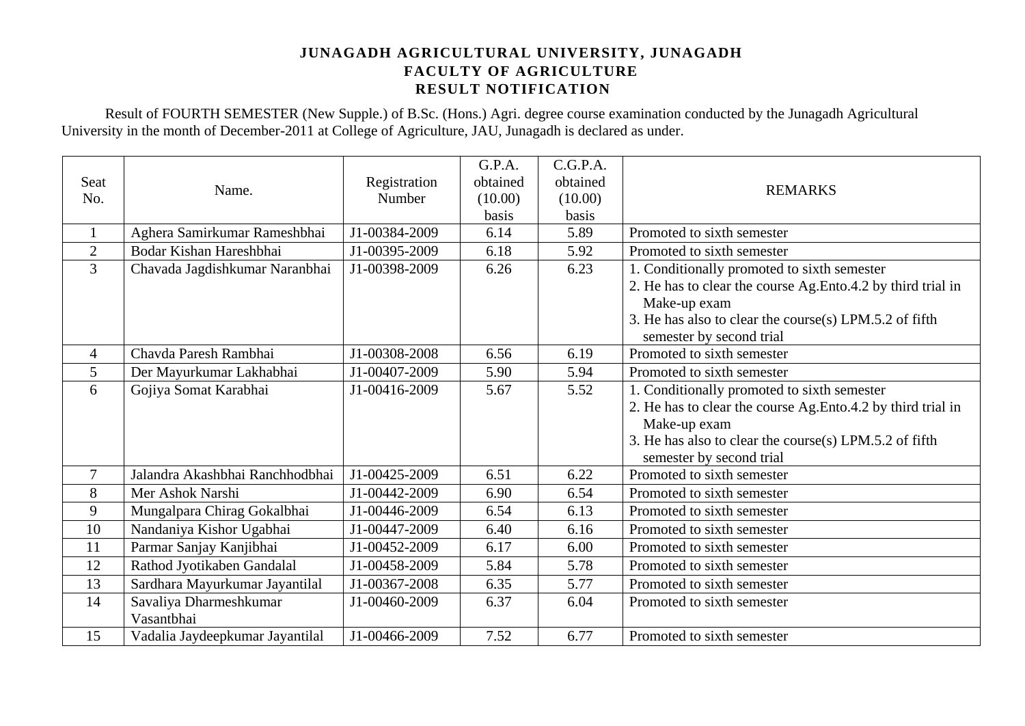Result of FOURTH SEMESTER (New Supple.) of B.Sc. (Hons.) Agri. degree course examination conducted by the Junagadh Agricultural University in the month of December-2011 at College of Agriculture, JAU, Junagadh is declared as under.

|                |                                 |               | G.P.A.   | C.G.P.A. |                                                               |
|----------------|---------------------------------|---------------|----------|----------|---------------------------------------------------------------|
| Seat           | Name.                           | Registration  | obtained | obtained | <b>REMARKS</b>                                                |
| No.            |                                 | Number        | (10.00)  | (10.00)  |                                                               |
|                |                                 |               | basis    | basis    |                                                               |
|                | Aghera Samirkumar Rameshbhai    | J1-00384-2009 | 6.14     | 5.89     | Promoted to sixth semester                                    |
| $\overline{2}$ | Bodar Kishan Hareshbhai         | J1-00395-2009 | 6.18     | 5.92     | Promoted to sixth semester                                    |
| 3              | Chavada Jagdishkumar Naranbhai  | J1-00398-2009 | 6.26     | 6.23     | 1. Conditionally promoted to sixth semester                   |
|                |                                 |               |          |          | 2. He has to clear the course Ag. Ento 4.2 by third trial in  |
|                |                                 |               |          |          | Make-up exam                                                  |
|                |                                 |               |          |          | 3. He has also to clear the course(s) LPM.5.2 of fifth        |
|                |                                 |               |          |          | semester by second trial                                      |
| $\overline{4}$ | Chavda Paresh Rambhai           | J1-00308-2008 | 6.56     | 6.19     | Promoted to sixth semester                                    |
| 5              | Der Mayurkumar Lakhabhai        | J1-00407-2009 | 5.90     | 5.94     | Promoted to sixth semester                                    |
| 6              | Gojiya Somat Karabhai           | J1-00416-2009 | 5.67     | 5.52     | 1. Conditionally promoted to sixth semester                   |
|                |                                 |               |          |          | 2. He has to clear the course Ag. Ento. 4.2 by third trial in |
|                |                                 |               |          |          | Make-up exam                                                  |
|                |                                 |               |          |          | 3. He has also to clear the course(s) LPM.5.2 of fifth        |
|                |                                 |               |          |          | semester by second trial                                      |
| $\overline{7}$ | Jalandra Akashbhai Ranchhodbhai | J1-00425-2009 | 6.51     | 6.22     | Promoted to sixth semester                                    |
| 8              | Mer Ashok Narshi                | J1-00442-2009 | 6.90     | 6.54     | Promoted to sixth semester                                    |
| 9              | Mungalpara Chirag Gokalbhai     | J1-00446-2009 | 6.54     | 6.13     | Promoted to sixth semester                                    |
| 10             | Nandaniya Kishor Ugabhai        | J1-00447-2009 | 6.40     | 6.16     | Promoted to sixth semester                                    |
| 11             | Parmar Sanjay Kanjibhai         | J1-00452-2009 | 6.17     | 6.00     | Promoted to sixth semester                                    |
| 12             | Rathod Jyotikaben Gandalal      | J1-00458-2009 | 5.84     | 5.78     | Promoted to sixth semester                                    |
| 13             | Sardhara Mayurkumar Jayantilal  | J1-00367-2008 | 6.35     | 5.77     | Promoted to sixth semester                                    |
| 14             | Savaliya Dharmeshkumar          | J1-00460-2009 | 6.37     | 6.04     | Promoted to sixth semester                                    |
|                | Vasantbhai                      |               |          |          |                                                               |
| 15             | Vadalia Jaydeepkumar Jayantilal | J1-00466-2009 | 7.52     | 6.77     | Promoted to sixth semester                                    |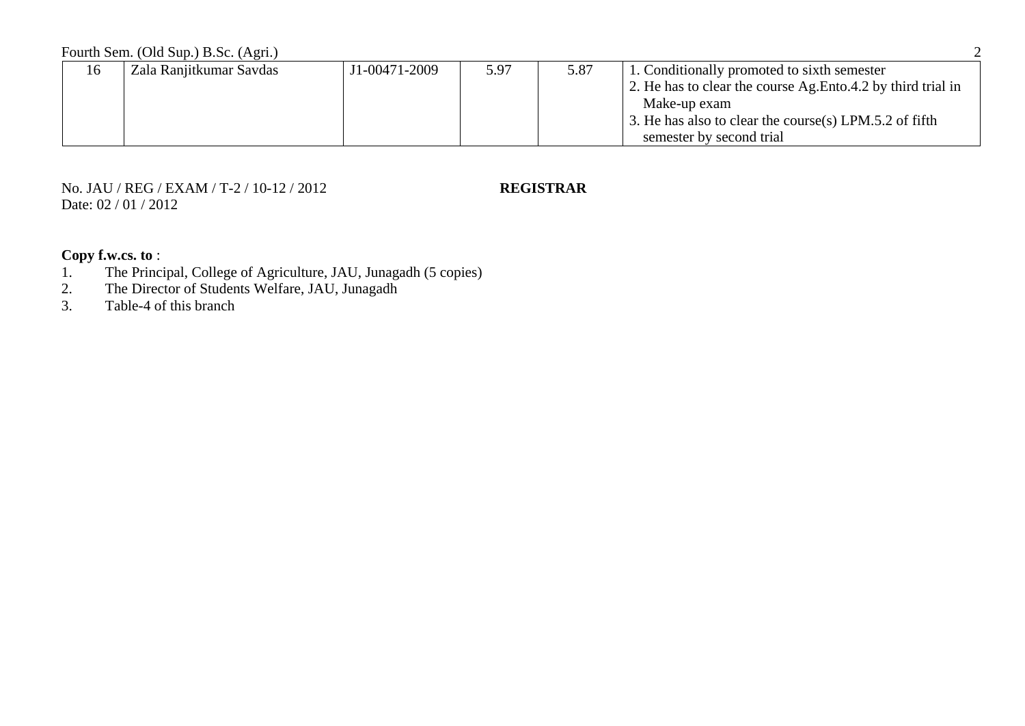| 16 | Zala Ranjitkumar Savdas | J1-00471-2009 | 5.97 | 5.87 | 1. Conditionally promoted to sixth semester                  |
|----|-------------------------|---------------|------|------|--------------------------------------------------------------|
|    |                         |               |      |      | 2. He has to clear the course Ag. Ento 4.2 by third trial in |
|    |                         |               |      |      | Make-up exam                                                 |
|    |                         |               |      |      | 3. He has also to clear the course(s) LPM.5.2 of fifth       |
|    |                         |               |      |      | semester by second trial                                     |

No. JAU / REG / EXAM / T-2 / 10-12 / 2012 **REGISTRAR** Date: 02 / 01 / 2012

- 1. The Principal, College of Agriculture, JAU, Junagadh (5 copies)
- 2. The Director of Students Welfare, JAU, Junagadh<br>3. Table-4 of this branch
- Table-4 of this branch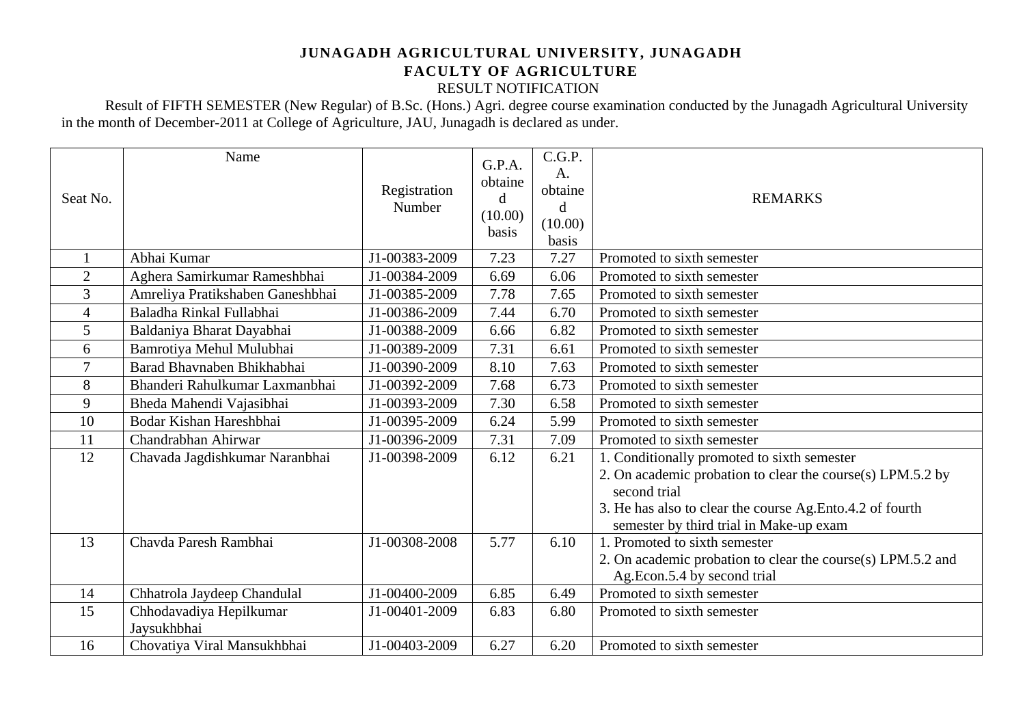# **JUNAGADH AGRICULTURAL UNIVERSITY, JUNAGADH FACULTY OF AGRICULTURE**

RESULT NOTIFICATION

Result of FIFTH SEMESTER (New Regular) of B.Sc. (Hons.) Agri. degree course examination conducted by the Junagadh Agricultural University in the month of December-2011 at College of Agriculture, JAU, Junagadh is declared as under.

| Seat No.                 | Name                                   | Registration<br>Number | G.P.A.<br>obtaine<br>d<br>(10.00)<br>basis | C.G.P.<br>A.<br>obtaine<br>d<br>(10.00)<br>basis | <b>REMARKS</b>                                                                                                                                                                                                                     |  |
|--------------------------|----------------------------------------|------------------------|--------------------------------------------|--------------------------------------------------|------------------------------------------------------------------------------------------------------------------------------------------------------------------------------------------------------------------------------------|--|
|                          | Abhai Kumar                            | J1-00383-2009          | 7.23                                       | 7.27                                             | Promoted to sixth semester                                                                                                                                                                                                         |  |
| $\overline{2}$           | Aghera Samirkumar Rameshbhai           | J1-00384-2009          | 6.69                                       | 6.06                                             | Promoted to sixth semester                                                                                                                                                                                                         |  |
| 3                        | Amreliya Pratikshaben Ganeshbhai       | J1-00385-2009          | 7.78                                       | 7.65                                             | Promoted to sixth semester                                                                                                                                                                                                         |  |
| $\overline{\mathcal{A}}$ | Baladha Rinkal Fullabhai               | J1-00386-2009          | 7.44                                       | 6.70                                             | Promoted to sixth semester                                                                                                                                                                                                         |  |
| 5                        | Baldaniya Bharat Dayabhai              | J1-00388-2009          | 6.66                                       | 6.82                                             | Promoted to sixth semester                                                                                                                                                                                                         |  |
| 6                        | Bamrotiya Mehul Mulubhai               | J1-00389-2009          | 7.31                                       | 6.61                                             | Promoted to sixth semester                                                                                                                                                                                                         |  |
| 7                        | Barad Bhavnaben Bhikhabhai             | J1-00390-2009          | 8.10                                       | 7.63                                             | Promoted to sixth semester                                                                                                                                                                                                         |  |
| 8                        | Bhanderi Rahulkumar Laxmanbhai         | J1-00392-2009          | 7.68                                       | 6.73                                             | Promoted to sixth semester                                                                                                                                                                                                         |  |
| 9                        | Bheda Mahendi Vajasibhai               | J1-00393-2009          | 7.30                                       | 6.58                                             | Promoted to sixth semester                                                                                                                                                                                                         |  |
| 10                       | Bodar Kishan Hareshbhai                | J1-00395-2009          | 6.24                                       | 5.99                                             | Promoted to sixth semester                                                                                                                                                                                                         |  |
| 11                       | Chandrabhan Ahirwar                    | J1-00396-2009          | 7.31                                       | 7.09                                             | Promoted to sixth semester                                                                                                                                                                                                         |  |
| 12                       | Chavada Jagdishkumar Naranbhai         | J1-00398-2009          | 6.12                                       | 6.21                                             | 1. Conditionally promoted to sixth semester<br>2. On academic probation to clear the course(s) LPM.5.2 by<br>second trial<br>3. He has also to clear the course Ag. Ento. 4.2 of fourth<br>semester by third trial in Make-up exam |  |
| 13                       | Chavda Paresh Rambhai                  | J1-00308-2008          | 5.77                                       | 6.10                                             | 1. Promoted to sixth semester<br>2. On academic probation to clear the course(s) LPM.5.2 and<br>Ag.Econ.5.4 by second trial                                                                                                        |  |
| 14                       | Chhatrola Jaydeep Chandulal            | J1-00400-2009          | 6.85                                       | 6.49                                             | Promoted to sixth semester                                                                                                                                                                                                         |  |
| 15                       | Chhodavadiya Hepilkumar<br>Jaysukhbhai | J1-00401-2009          | 6.83                                       | 6.80                                             | Promoted to sixth semester                                                                                                                                                                                                         |  |
| 16                       | Chovatiya Viral Mansukhbhai            | J1-00403-2009          | 6.27                                       | 6.20                                             | Promoted to sixth semester                                                                                                                                                                                                         |  |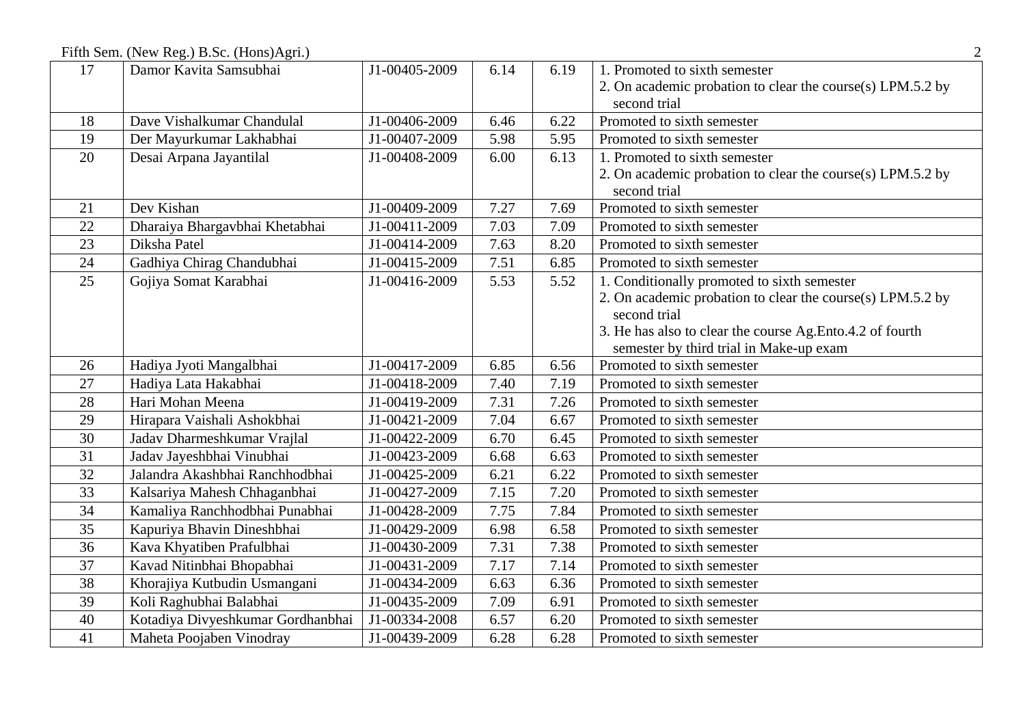Fifth Sem. (New Reg.) B.Sc. (Hons)Agri.) 2

| 17 | Damor Kavita Samsubhai            | J1-00405-2009 | 6.14 | 6.19 | 1. Promoted to sixth semester                              |  |  |
|----|-----------------------------------|---------------|------|------|------------------------------------------------------------|--|--|
|    |                                   |               |      |      | 2. On academic probation to clear the course(s) LPM.5.2 by |  |  |
|    |                                   |               |      |      | second trial                                               |  |  |
| 18 | Dave Vishalkumar Chandulal        | J1-00406-2009 | 6.46 | 6.22 | Promoted to sixth semester                                 |  |  |
| 19 | Der Mayurkumar Lakhabhai          | J1-00407-2009 | 5.98 | 5.95 | Promoted to sixth semester                                 |  |  |
| 20 | Desai Arpana Jayantilal           | J1-00408-2009 | 6.00 | 6.13 | 1. Promoted to sixth semester                              |  |  |
|    |                                   |               |      |      | 2. On academic probation to clear the course(s) LPM.5.2 by |  |  |
|    |                                   |               |      |      | second trial                                               |  |  |
| 21 | Dev Kishan                        | J1-00409-2009 | 7.27 | 7.69 | Promoted to sixth semester                                 |  |  |
| 22 | Dharaiya Bhargavbhai Khetabhai    | J1-00411-2009 | 7.03 | 7.09 | Promoted to sixth semester                                 |  |  |
| 23 | Diksha Patel                      | J1-00414-2009 | 7.63 | 8.20 | Promoted to sixth semester                                 |  |  |
| 24 | Gadhiya Chirag Chandubhai         | J1-00415-2009 | 7.51 | 6.85 | Promoted to sixth semester                                 |  |  |
| 25 | Gojiya Somat Karabhai             | J1-00416-2009 | 5.53 | 5.52 | 1. Conditionally promoted to sixth semester                |  |  |
|    |                                   |               |      |      | 2. On academic probation to clear the course(s) LPM.5.2 by |  |  |
|    |                                   |               |      |      | second trial                                               |  |  |
|    |                                   |               |      |      | 3. He has also to clear the course Ag. Ento. 4.2 of fourth |  |  |
|    |                                   |               |      |      | semester by third trial in Make-up exam                    |  |  |
| 26 | Hadiya Jyoti Mangalbhai           | J1-00417-2009 | 6.85 | 6.56 | Promoted to sixth semester                                 |  |  |
| 27 | Hadiya Lata Hakabhai              | J1-00418-2009 | 7.40 | 7.19 | Promoted to sixth semester                                 |  |  |
| 28 | Hari Mohan Meena                  | J1-00419-2009 | 7.31 | 7.26 | Promoted to sixth semester                                 |  |  |
| 29 | Hirapara Vaishali Ashokbhai       | J1-00421-2009 | 7.04 | 6.67 | Promoted to sixth semester                                 |  |  |
| 30 | Jadav Dharmeshkumar Vrajlal       | J1-00422-2009 | 6.70 | 6.45 | Promoted to sixth semester                                 |  |  |
| 31 | Jadav Jayeshbhai Vinubhai         | J1-00423-2009 | 6.68 | 6.63 | Promoted to sixth semester                                 |  |  |
| 32 | Jalandra Akashbhai Ranchhodbhai   | J1-00425-2009 | 6.21 | 6.22 | Promoted to sixth semester                                 |  |  |
| 33 | Kalsariya Mahesh Chhaganbhai      | J1-00427-2009 | 7.15 | 7.20 | Promoted to sixth semester                                 |  |  |
| 34 | Kamaliya Ranchhodbhai Punabhai    | J1-00428-2009 | 7.75 | 7.84 | Promoted to sixth semester                                 |  |  |
| 35 | Kapuriya Bhavin Dineshbhai        | J1-00429-2009 | 6.98 | 6.58 | Promoted to sixth semester                                 |  |  |
| 36 | Kava Khyatiben Prafulbhai         | J1-00430-2009 | 7.31 | 7.38 | Promoted to sixth semester                                 |  |  |
| 37 | Kavad Nitinbhai Bhopabhai         | J1-00431-2009 | 7.17 | 7.14 | Promoted to sixth semester                                 |  |  |
| 38 | Khorajiya Kutbudin Usmangani      | J1-00434-2009 | 6.63 | 6.36 | Promoted to sixth semester                                 |  |  |
| 39 | Koli Raghubhai Balabhai           | J1-00435-2009 | 7.09 | 6.91 | Promoted to sixth semester                                 |  |  |
| 40 | Kotadiya Divyeshkumar Gordhanbhai | J1-00334-2008 | 6.57 | 6.20 | Promoted to sixth semester                                 |  |  |
| 41 | Maheta Poojaben Vinodray          | J1-00439-2009 | 6.28 | 6.28 | Promoted to sixth semester                                 |  |  |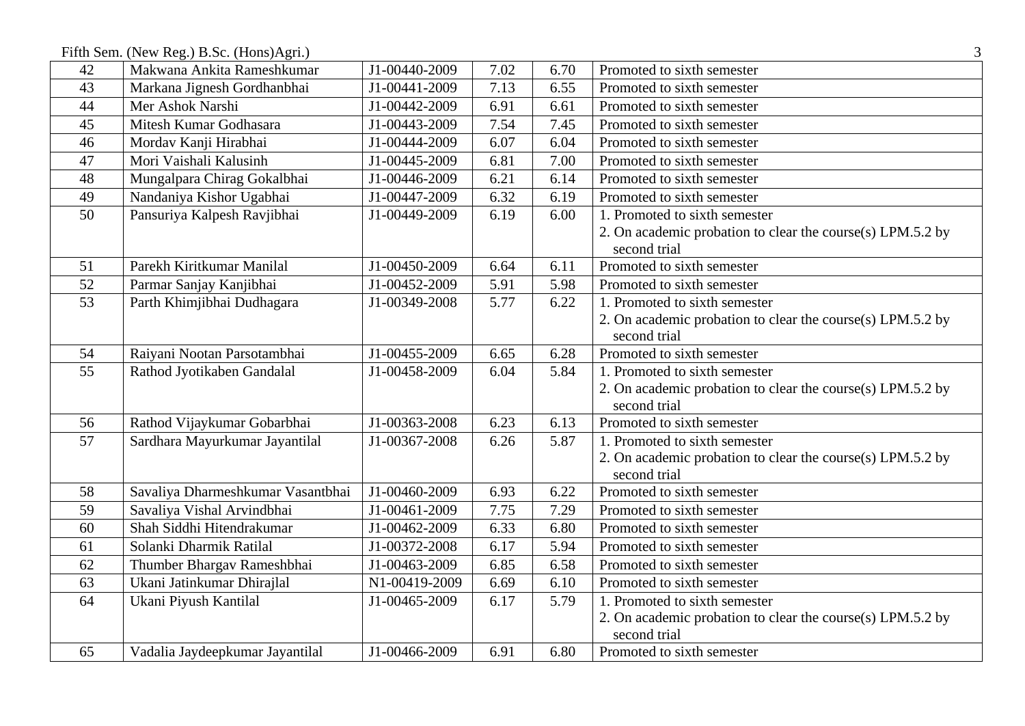Fifth Sem. (New Reg.) B.Sc. (Hons)Agri.) 3

| 42              | Makwana Ankita Rameshkumar        | J1-00440-2009 | 7.02 | 6.70 | Promoted to sixth semester                                 |  |
|-----------------|-----------------------------------|---------------|------|------|------------------------------------------------------------|--|
| 43              | Markana Jignesh Gordhanbhai       | J1-00441-2009 | 7.13 | 6.55 | Promoted to sixth semester                                 |  |
| 44              | Mer Ashok Narshi                  | J1-00442-2009 | 6.91 | 6.61 | Promoted to sixth semester                                 |  |
| 45              | Mitesh Kumar Godhasara            | J1-00443-2009 | 7.54 | 7.45 | Promoted to sixth semester                                 |  |
| 46              | Mordav Kanji Hirabhai             | J1-00444-2009 | 6.07 | 6.04 | Promoted to sixth semester                                 |  |
| 47              | Mori Vaishali Kalusinh            | J1-00445-2009 | 6.81 | 7.00 | Promoted to sixth semester                                 |  |
| 48              | Mungalpara Chirag Gokalbhai       | J1-00446-2009 | 6.21 | 6.14 | Promoted to sixth semester                                 |  |
| 49              | Nandaniya Kishor Ugabhai          | J1-00447-2009 | 6.32 | 6.19 | Promoted to sixth semester                                 |  |
| 50              | Pansuriya Kalpesh Ravjibhai       | J1-00449-2009 | 6.19 | 6.00 | 1. Promoted to sixth semester                              |  |
|                 |                                   |               |      |      | 2. On academic probation to clear the course(s) LPM.5.2 by |  |
|                 |                                   |               |      |      | second trial                                               |  |
| 51              | Parekh Kiritkumar Manilal         | J1-00450-2009 | 6.64 | 6.11 | Promoted to sixth semester                                 |  |
| 52              | Parmar Sanjay Kanjibhai           | J1-00452-2009 | 5.91 | 5.98 | Promoted to sixth semester                                 |  |
| $\overline{53}$ | Parth Khimjibhai Dudhagara        | J1-00349-2008 | 5.77 | 6.22 | 1. Promoted to sixth semester                              |  |
|                 |                                   |               |      |      | 2. On academic probation to clear the course(s) LPM.5.2 by |  |
|                 |                                   |               |      |      | second trial                                               |  |
| 54              | Raiyani Nootan Parsotambhai       | J1-00455-2009 | 6.65 | 6.28 | Promoted to sixth semester                                 |  |
| 55              | Rathod Jyotikaben Gandalal        | J1-00458-2009 | 6.04 | 5.84 | 1. Promoted to sixth semester                              |  |
|                 |                                   |               |      |      | 2. On academic probation to clear the course(s) LPM.5.2 by |  |
|                 |                                   |               |      |      | second trial                                               |  |
| 56              | Rathod Vijaykumar Gobarbhai       | J1-00363-2008 | 6.23 | 6.13 | Promoted to sixth semester                                 |  |
| 57              | Sardhara Mayurkumar Jayantilal    | J1-00367-2008 | 6.26 | 5.87 | 1. Promoted to sixth semester                              |  |
|                 |                                   |               |      |      | 2. On academic probation to clear the course(s) LPM.5.2 by |  |
|                 |                                   |               |      |      | second trial                                               |  |
| 58              | Savaliya Dharmeshkumar Vasantbhai | J1-00460-2009 | 6.93 | 6.22 | Promoted to sixth semester                                 |  |
| 59              | Savaliya Vishal Arvindbhai        | J1-00461-2009 | 7.75 | 7.29 | Promoted to sixth semester                                 |  |
| 60              | Shah Siddhi Hitendrakumar         | J1-00462-2009 | 6.33 | 6.80 | Promoted to sixth semester                                 |  |
| 61              | Solanki Dharmik Ratilal           | J1-00372-2008 | 6.17 | 5.94 | Promoted to sixth semester                                 |  |
| 62              | Thumber Bhargav Rameshbhai        | J1-00463-2009 | 6.85 | 6.58 | Promoted to sixth semester                                 |  |
| 63              | Ukani Jatinkumar Dhirajlal        | N1-00419-2009 | 6.69 | 6.10 | Promoted to sixth semester                                 |  |
| 64              | Ukani Piyush Kantilal             | J1-00465-2009 | 6.17 | 5.79 | 1. Promoted to sixth semester                              |  |
|                 |                                   |               |      |      | 2. On academic probation to clear the course(s) LPM.5.2 by |  |
|                 |                                   |               |      |      | second trial                                               |  |
| 65              | Vadalia Jaydeepkumar Jayantilal   | J1-00466-2009 | 6.91 | 6.80 | Promoted to sixth semester                                 |  |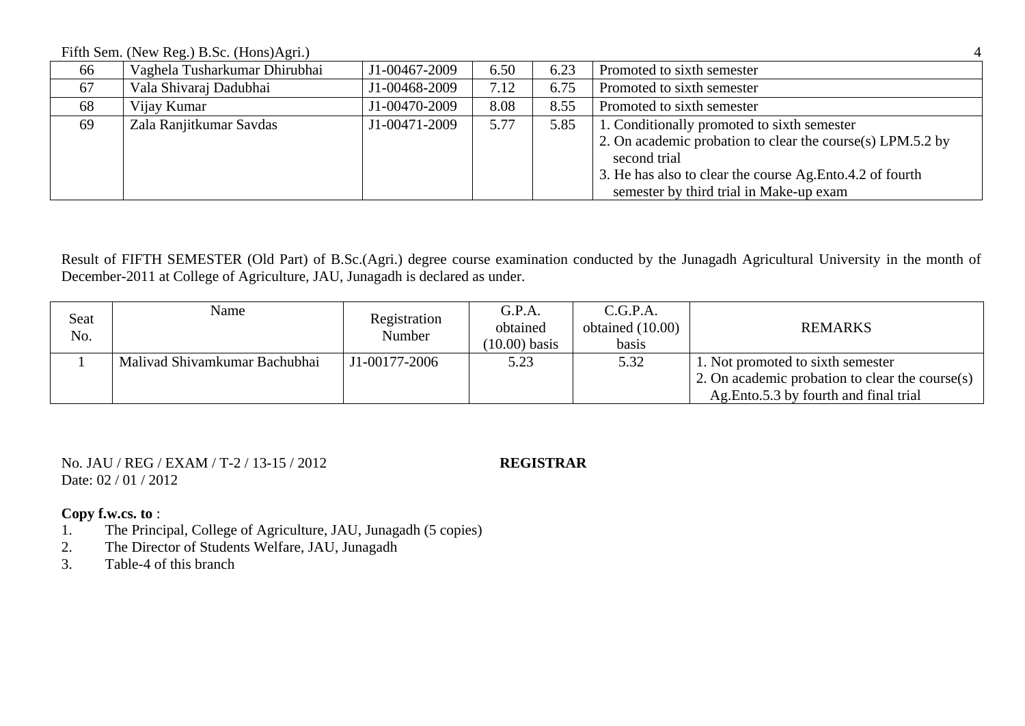Fifth Sem. (New Reg.) B.Sc. (Hons)Agri.) 4

| 66 | Vaghela Tusharkumar Dhirubhai | J1-00467-2009 | 6.50 | 6.23 | Promoted to sixth semester                                 |
|----|-------------------------------|---------------|------|------|------------------------------------------------------------|
| 67 | Vala Shivaraj Dadubhai        | J1-00468-2009 | 7.12 | 6.75 | Promoted to sixth semester                                 |
| 68 | Vijay Kumar                   | J1-00470-2009 | 8.08 | 8.55 | Promoted to sixth semester                                 |
| 69 | Zala Ranjitkumar Savdas       | J1-00471-2009 | 5.77 | 5.85 | 1. Conditionally promoted to sixth semester                |
|    |                               |               |      |      | 2. On academic probation to clear the course(s) LPM.5.2 by |
|    |                               |               |      |      | second trial                                               |
|    |                               |               |      |      | 3. He has also to clear the course Ag. Ento 4.2 of fourth  |
|    |                               |               |      |      | semester by third trial in Make-up exam                    |

Result of FIFTH SEMESTER (Old Part) of B.Sc.(Agri.) degree course examination conducted by the Junagadh Agricultural University in the month of December-2011 at College of Agriculture, JAU, Junagadh is declared as under.

| Seat<br>No. | Name                          | Registration<br>Number | G.P.A.<br>obtained<br>$(10.00)$ basis | C.G.P.A.<br>obtained $(10.00)$<br>basis | <b>REMARKS</b>                                                                                                                 |
|-------------|-------------------------------|------------------------|---------------------------------------|-----------------------------------------|--------------------------------------------------------------------------------------------------------------------------------|
|             | Malivad Shivamkumar Bachubhai | J1-00177-2006          | 5.23                                  | 5.32                                    | 1. Not promoted to sixth semester<br>2. On academic probation to clear the course(s)<br>Ag. Ento 5.3 by fourth and final trial |

No. JAU / REG / EXAM / T-2 / 13-15 / 2012 **REGISTRAR** Date: 02 / 01 / 2012

- 1. The Principal, College of Agriculture, JAU, Junagadh (5 copies)<br>2. The Director of Students Welfare, JAU, Junagadh
- The Director of Students Welfare, JAU, Junagadh
- 3. Table-4 of this branch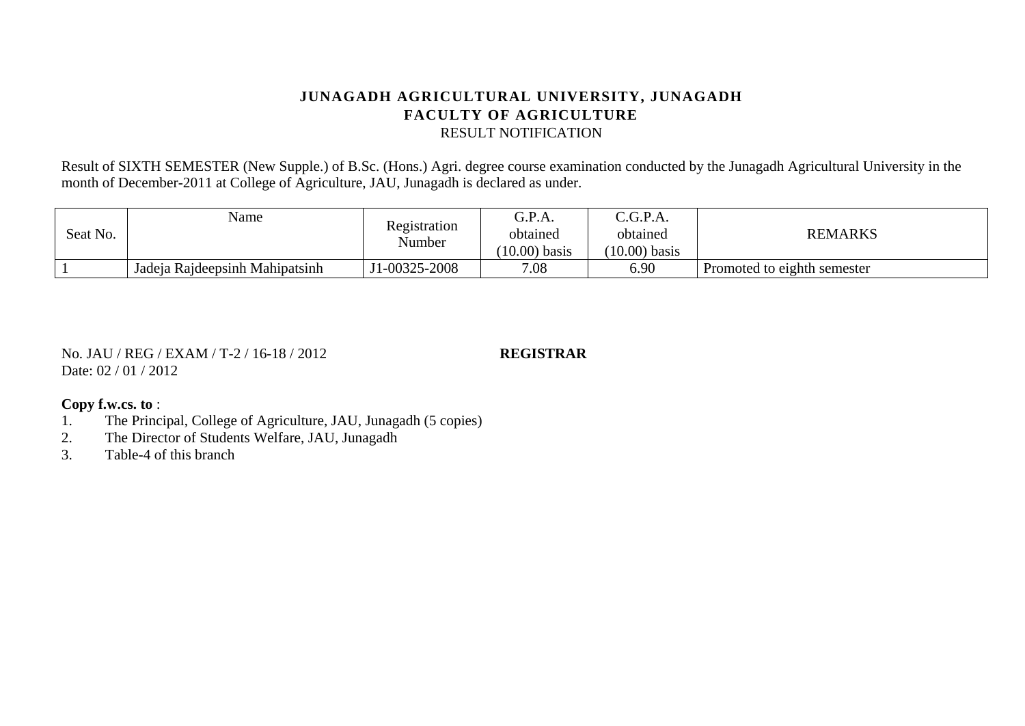Result of SIXTH SEMESTER (New Supple.) of B.Sc. (Hons.) Agri. degree course examination conducted by the Junagadh Agricultural University in the month of December-2011 at College of Agriculture, JAU, Junagadh is declared as under.

| Seat No. | Name                           | Registration<br>Number | G.P.A.<br>obtained<br>$(10.00)$ basis | C.G.P.A.<br>obtained<br>$(10.00)$ basis | <b>REMARKS</b>              |
|----------|--------------------------------|------------------------|---------------------------------------|-----------------------------------------|-----------------------------|
|          | Jadeja Rajdeepsinh Mahipatsinh | J1-00325-2008          | 7.08                                  | 6.90                                    | Promoted to eighth semester |

No. JAU / REG / EXAM / T-2 / 16-18 / 2012 **REGISTRAR** Date: 02 / 01 / 2012

- 1. The Principal, College of Agriculture, JAU, Junagadh (5 copies)
- 2. The Director of Students Welfare, JAU, Junagadh
- 3. Table-4 of this branch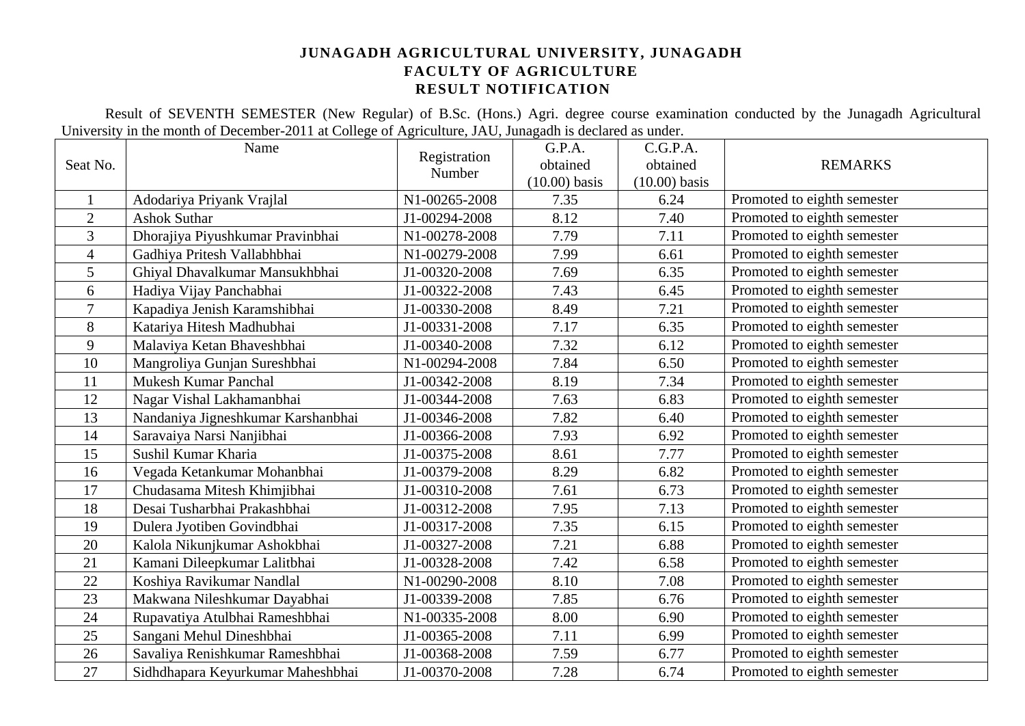Result of SEVENTH SEMESTER (New Regular) of B.Sc. (Hons.) Agri. degree course examination conducted by the Junagadh Agricultural University in the month of December-2011 at College of Agriculture, JAU, Junagadh is declared as under.

|                | Name                               | Registration<br>Number | G.P.A.          | C.G.P.A.        |                             |  |
|----------------|------------------------------------|------------------------|-----------------|-----------------|-----------------------------|--|
| Seat No.       |                                    |                        | obtained        | obtained        | <b>REMARKS</b>              |  |
|                |                                    |                        | $(10.00)$ basis | $(10.00)$ basis |                             |  |
|                | Adodariya Priyank Vrajlal          | N1-00265-2008          | 7.35            | 6.24            | Promoted to eighth semester |  |
| $\overline{2}$ | <b>Ashok Suthar</b>                | J1-00294-2008          | 8.12            | 7.40            | Promoted to eighth semester |  |
| 3              | Dhorajiya Piyushkumar Pravinbhai   | N1-00278-2008          | 7.79            | 7.11            | Promoted to eighth semester |  |
| $\overline{4}$ | Gadhiya Pritesh Vallabhbhai        | N1-00279-2008          | 7.99            | 6.61            | Promoted to eighth semester |  |
| 5              | Ghiyal Dhavalkumar Mansukhbhai     | J1-00320-2008          | 7.69            | 6.35            | Promoted to eighth semester |  |
| 6              | Hadiya Vijay Panchabhai            | J1-00322-2008          | 7.43            | 6.45            | Promoted to eighth semester |  |
| $\overline{7}$ | Kapadiya Jenish Karamshibhai       | J1-00330-2008          | 8.49            | 7.21            | Promoted to eighth semester |  |
| 8              | Katariya Hitesh Madhubhai          | J1-00331-2008          | 7.17            | 6.35            | Promoted to eighth semester |  |
| 9              | Malaviya Ketan Bhaveshbhai         | J1-00340-2008          | 7.32            | 6.12            | Promoted to eighth semester |  |
| 10             | Mangroliya Gunjan Sureshbhai       | N1-00294-2008          | 7.84            | 6.50            | Promoted to eighth semester |  |
| 11             | <b>Mukesh Kumar Panchal</b>        | J1-00342-2008          | 8.19            | 7.34            | Promoted to eighth semester |  |
| 12             | Nagar Vishal Lakhamanbhai          | J1-00344-2008          | 7.63            | 6.83            | Promoted to eighth semester |  |
| 13             | Nandaniya Jigneshkumar Karshanbhai | J1-00346-2008          | 7.82            | 6.40            | Promoted to eighth semester |  |
| 14             | Saravaiya Narsi Nanjibhai          | J1-00366-2008          | 7.93            | 6.92            | Promoted to eighth semester |  |
| 15             | Sushil Kumar Kharia                | J1-00375-2008          | 8.61            | 7.77            | Promoted to eighth semester |  |
| 16             | Vegada Ketankumar Mohanbhai        | J1-00379-2008          | 8.29            | 6.82            | Promoted to eighth semester |  |
| 17             | Chudasama Mitesh Khimjibhai        | J1-00310-2008          | 7.61            | 6.73            | Promoted to eighth semester |  |
| 18             | Desai Tusharbhai Prakashbhai       | J1-00312-2008          | 7.95            | 7.13            | Promoted to eighth semester |  |
| 19             | Dulera Jyotiben Govindbhai         | J1-00317-2008          | 7.35            | 6.15            | Promoted to eighth semester |  |
| 20             | Kalola Nikunjkumar Ashokbhai       | J1-00327-2008          | 7.21            | 6.88            | Promoted to eighth semester |  |
| 21             | Kamani Dileepkumar Lalitbhai       | J1-00328-2008          | 7.42            | 6.58            | Promoted to eighth semester |  |
| 22             | Koshiya Ravikumar Nandlal          | N1-00290-2008          | 8.10            | 7.08            | Promoted to eighth semester |  |
| 23             | Makwana Nileshkumar Dayabhai       | J1-00339-2008          | 7.85            | 6.76            | Promoted to eighth semester |  |
| 24             | Rupavatiya Atulbhai Rameshbhai     | N1-00335-2008          | 8.00            | 6.90            | Promoted to eighth semester |  |
| 25             | Sangani Mehul Dineshbhai           | J1-00365-2008          | 7.11            | 6.99            | Promoted to eighth semester |  |
| 26             | Savaliya Renishkumar Rameshbhai    | J1-00368-2008          | 7.59            | 6.77            | Promoted to eighth semester |  |
| 27             | Sidhdhapara Keyurkumar Maheshbhai  | J1-00370-2008          | 7.28            | 6.74            | Promoted to eighth semester |  |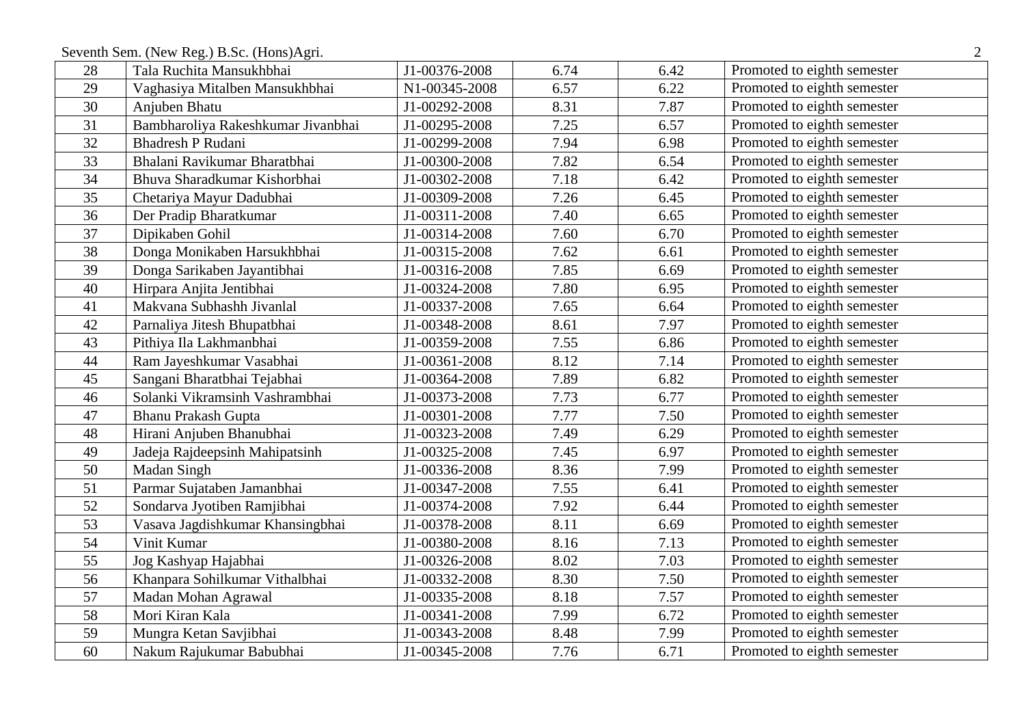Seventh Sem. (New Reg.) B.Sc. (Hons)Agri.

| 28 | Tala Ruchita Mansukhbhai           | J1-00376-2008 | 6.74 | 6.42 | Promoted to eighth semester |
|----|------------------------------------|---------------|------|------|-----------------------------|
| 29 | Vaghasiya Mitalben Mansukhbhai     | N1-00345-2008 | 6.57 | 6.22 | Promoted to eighth semester |
| 30 | Anjuben Bhatu                      | J1-00292-2008 | 8.31 | 7.87 | Promoted to eighth semester |
| 31 | Bambharoliya Rakeshkumar Jivanbhai | J1-00295-2008 | 7.25 | 6.57 | Promoted to eighth semester |
| 32 | <b>Bhadresh P Rudani</b>           | J1-00299-2008 | 7.94 | 6.98 | Promoted to eighth semester |
| 33 | Bhalani Ravikumar Bharatbhai       | J1-00300-2008 | 7.82 | 6.54 | Promoted to eighth semester |
| 34 | Bhuva Sharadkumar Kishorbhai       | J1-00302-2008 | 7.18 | 6.42 | Promoted to eighth semester |
| 35 | Chetariya Mayur Dadubhai           | J1-00309-2008 | 7.26 | 6.45 | Promoted to eighth semester |
| 36 | Der Pradip Bharatkumar             | J1-00311-2008 | 7.40 | 6.65 | Promoted to eighth semester |
| 37 | Dipikaben Gohil                    | J1-00314-2008 | 7.60 | 6.70 | Promoted to eighth semester |
| 38 | Donga Monikaben Harsukhbhai        | J1-00315-2008 | 7.62 | 6.61 | Promoted to eighth semester |
| 39 | Donga Sarikaben Jayantibhai        | J1-00316-2008 | 7.85 | 6.69 | Promoted to eighth semester |
| 40 | Hirpara Anjita Jentibhai           | J1-00324-2008 | 7.80 | 6.95 | Promoted to eighth semester |
| 41 | Makvana Subhashh Jivanlal          | J1-00337-2008 | 7.65 | 6.64 | Promoted to eighth semester |
| 42 | Parnaliya Jitesh Bhupatbhai        | J1-00348-2008 | 8.61 | 7.97 | Promoted to eighth semester |
| 43 | Pithiya Ila Lakhmanbhai            | J1-00359-2008 | 7.55 | 6.86 | Promoted to eighth semester |
| 44 | Ram Jayeshkumar Vasabhai           | J1-00361-2008 | 8.12 | 7.14 | Promoted to eighth semester |
| 45 | Sangani Bharatbhai Tejabhai        | J1-00364-2008 | 7.89 | 6.82 | Promoted to eighth semester |
| 46 | Solanki Vikramsinh Vashrambhai     | J1-00373-2008 | 7.73 | 6.77 | Promoted to eighth semester |
| 47 | <b>Bhanu Prakash Gupta</b>         | J1-00301-2008 | 7.77 | 7.50 | Promoted to eighth semester |
| 48 | Hirani Anjuben Bhanubhai           | J1-00323-2008 | 7.49 | 6.29 | Promoted to eighth semester |
| 49 | Jadeja Rajdeepsinh Mahipatsinh     | J1-00325-2008 | 7.45 | 6.97 | Promoted to eighth semester |
| 50 | Madan Singh                        | J1-00336-2008 | 8.36 | 7.99 | Promoted to eighth semester |
| 51 | Parmar Sujataben Jamanbhai         | J1-00347-2008 | 7.55 | 6.41 | Promoted to eighth semester |
| 52 | Sondarva Jyotiben Ramjibhai        | J1-00374-2008 | 7.92 | 6.44 | Promoted to eighth semester |
| 53 | Vasava Jagdishkumar Khansingbhai   | J1-00378-2008 | 8.11 | 6.69 | Promoted to eighth semester |
| 54 | Vinit Kumar                        | J1-00380-2008 | 8.16 | 7.13 | Promoted to eighth semester |
| 55 | Jog Kashyap Hajabhai               | J1-00326-2008 | 8.02 | 7.03 | Promoted to eighth semester |
| 56 | Khanpara Sohilkumar Vithalbhai     | J1-00332-2008 | 8.30 | 7.50 | Promoted to eighth semester |
| 57 | Madan Mohan Agrawal                | J1-00335-2008 | 8.18 | 7.57 | Promoted to eighth semester |
| 58 | Mori Kiran Kala                    | J1-00341-2008 | 7.99 | 6.72 | Promoted to eighth semester |
| 59 | Mungra Ketan Savjibhai             | J1-00343-2008 | 8.48 | 7.99 | Promoted to eighth semester |
| 60 | Nakum Rajukumar Babubhai           | J1-00345-2008 | 7.76 | 6.71 | Promoted to eighth semester |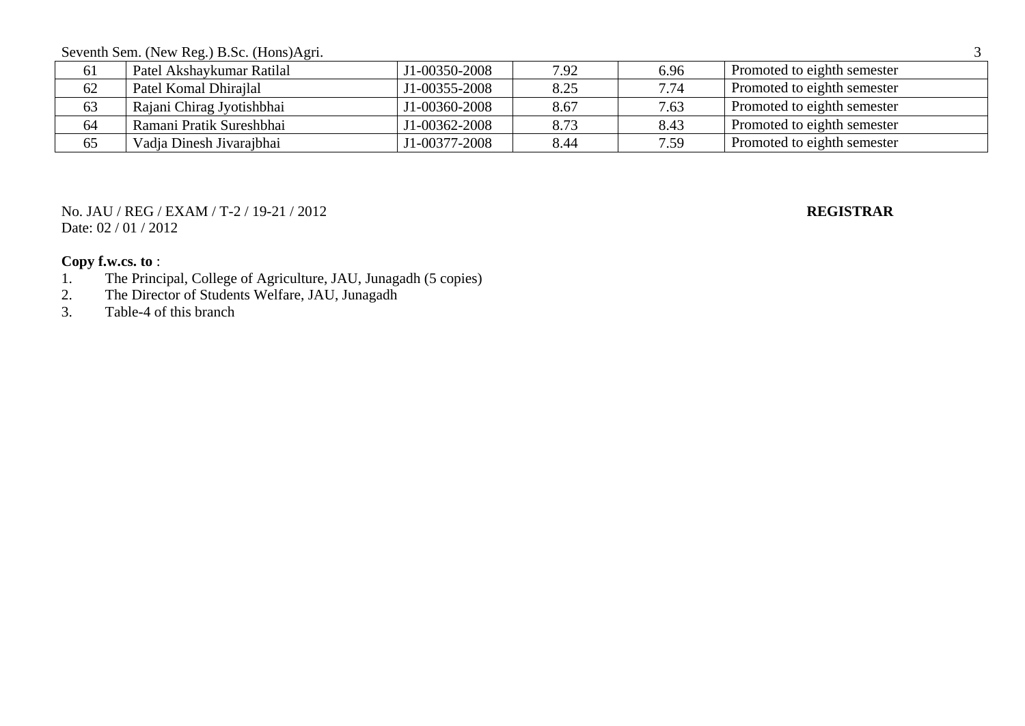Seventh Sem. (New Reg.) B.Sc. (Hons)Agri. 3

| 01 | Patel Akshaykumar Ratilal | J1-00350-2008 | 7.92 | 6.96 | Promoted to eighth semester |
|----|---------------------------|---------------|------|------|-----------------------------|
| 62 | Patel Komal Dhirajlal     | J1-00355-2008 | 8.25 | 7.74 | Promoted to eighth semester |
| 63 | Rajani Chirag Jyotishbhai | J1-00360-2008 | 8.67 | 7.63 | Promoted to eighth semester |
| 64 | Ramani Pratik Sureshbhai  | J1-00362-2008 | 8.73 | 8.43 | Promoted to eighth semester |
| 65 | Vadia Dinesh Jivarajbhai  | J1-00377-2008 | 8.44 | 1.59 | Promoted to eighth semester |

### No. JAU / REG / EXAM / T-2 / 19-21 / 2012 **REGISTRAR** Date: 02 / 01 / 2012

- 1. The Principal, College of Agriculture, JAU, Junagadh (5 copies)<br>2. The Director of Students Welfare, JAU, Junagadh
- 2. The Director of Students Welfare, JAU, Junagadh<br>3. Table-4 of this branch
- Table-4 of this branch